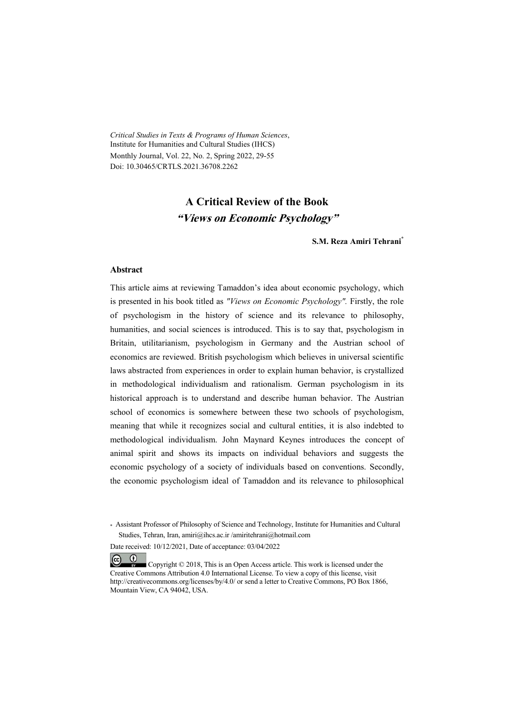*Critical Studies in Texts & Programs of Human Sciences*, Institute for Humanities and Cultural Studies (IHCS) Monthly Journal, Vol. 22, No. 2, Spring 2022, 29-55 Doi: 10.30465/CRTLS.2021.36708.2262

### **A Critical Review of the Book "Views on Economic Psychology"**

**S.M. Reza Amiri Tehrani\***

#### **Abstract**

This article aims at reviewing Tamaddon's idea about economic psychology, which is presented in his book titled as *"Views on Economic Psychology".* Firstly, the role of psychologism in the history of science and its relevance to philosophy, humanities, and social sciences is introduced. This is to say that, psychologism in Britain, utilitarianism, psychologism in Germany and the Austrian school of economics are reviewed. British psychologism which believes in universal scientific laws abstracted from experiences in order to explain human behavior, is crystallized in methodological individualism and rationalism. German psychologism in its historical approach is to understand and describe human behavior. The Austrian school of economics is somewhere between these two schools of psychologism, meaning that while it recognizes social and cultural entities, it is also indebted to methodological individualism. John Maynard Keynes introduces the concept of animal spirit and shows its impacts on individual behaviors and suggests the economic psychology of a society of individuals based on conventions. Secondly, the economic psychologism ideal of Tamaddon and its relevance to philosophical

Date received: 10/12/2021, Date of acceptance: 03/04/2022

 $(cc)$  $\bullet$  Copyright © 2018, This is an Open Access article. This work is licensed under the Creative Commons Attribution 4.0 International License. To view a copy of this license, visit http://creativecommons.org/licenses/by/4.0/ or send a letter to Creative Commons, PO Box 1866, Mountain View, CA 94042, USA.

<sup>\*</sup> Assistant Professor of Philosophy of Science and Technology, Institute for Humanities and Cultural Studies, Tehran, Iran, amiri@ihcs.ac.ir /amiritehrani@hotmail.com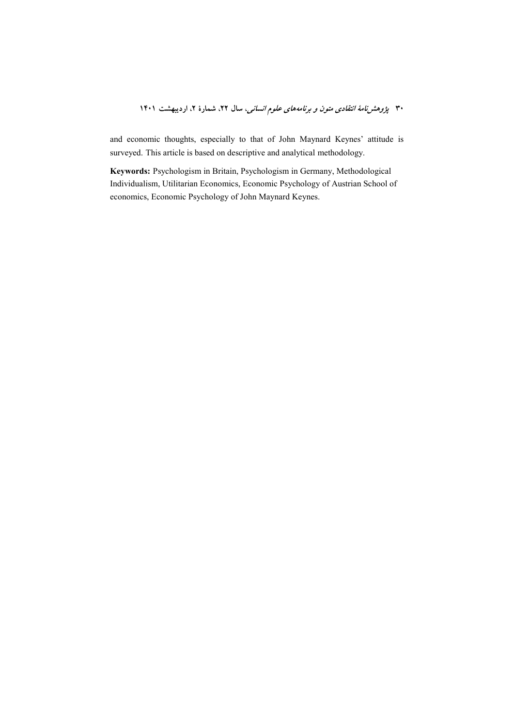and economic thoughts, especially to that of John Maynard Keynes' attitude is surveyed. This article is based on descriptive and analytical methodology.

Keywords: Psychologism in Britain, Psychologism in Germany, Methodological Individualism, Utilitarian Economics, Economic Psychology of Austrian School of economics, Economic Psychology of John Maynard Keynes.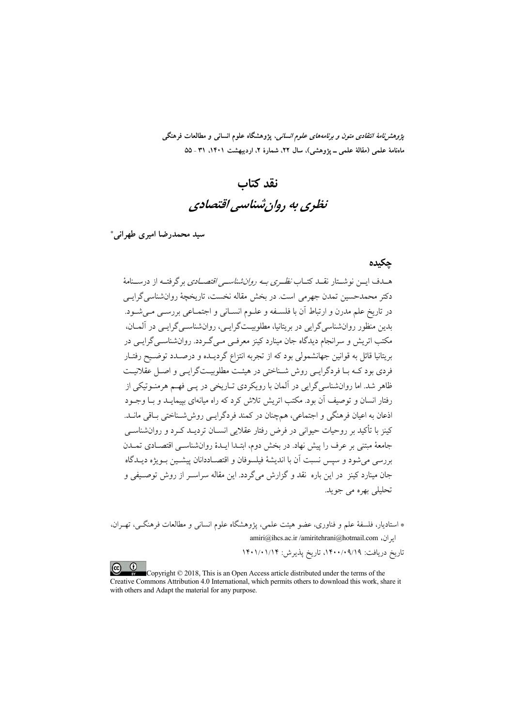*پژوهشنامهٔ انتقادی متون و برنامههای علوم انسانی،* پژوهشگاه علوم انسانی و مطالعات فرهنگی ماهنامهٔ علمی (مقالهٔ علمی ــ یژوهشی)، سال ۲۲، شمارهٔ ۲، اردیبهشت ۱۴۰۱، ۳۱ ـ ۵۵

# نقد كتاب نظری به روان شناسی اقتصادی

سید محمدرضا امیری طهرانی\*

#### جكيده

هـدف ايــن نوشــتار نقــد كتــاب *نظــري بــه روان شناســي اقتصـــادي* برگرفتــه از درســنامهٔ دکتر محمدحسین تمدن جهرمی است. در بخش مقاله نخست، تاریخچهٔ روانشناسی گرایـی در تاريخ علم مدرن و ارتباط آن با فلســفه و علــوم انســاني و اجتمــاعي بررســي مــي شــود. بدین منظور روانشناسی گرایی در بریتانیا، مطلوبیت گرایے ،، روانشناسے گرایے ، در آلمــان، مکتب اتریش و سرانجام دیدگاه جان مینارد کینز معرفـی مـیگـردد. روانشناسـیگرایـی در بریتانیا قائل به قوانین جهانشمولی بود که از تجربه انتزاع گردیــده و درصــدد توضــیح رفتــار فردي بود کـه بـا فردگرايـي روش شـناختي در هيئـت مطلوبيـتگرايـي و اصـل عقلانيـت .<br>ظاهر شد. اما روانشناسی گرایی در آلمان با رویکردی تــاریخی در یــی فهــم هرمنــوتیکی از رفتار انسان و توصیف آن بود. مکتب اتریش تلاش کرد که راه میانهای بییمایــد و بــا وجــود اذعان به اعیان فرهنگی و اجتماعی، همچنان در کمند فردگرایـی روششـناختی بـاقی مانـد. کینز با تأکید بر روحیات حیوانی در فرض رفتار عقلایی انســان تردیــد کــرد و روانشناســی جامعهٔ مبتنی بر عرف را پیش نهاد. در بخش دوم، ابتـدا ایـدهٔ روانشناسـی اقتصـادی تمـدن بررسي مي شود و سيس نسبت آن با انديشهٔ فيلسوفان و اقتصـاددانان پيشــين بــويژه ديــدگاه جان مینارد کینز ِ در این باره نقد و گزارش میگردد. این مقاله سراسـر از روش توصـیفی و تحليلي بھره مي جويد.

\* استادیار، فلسفهٔ علم و فناوری، عضو هیئت علمی، یژوهشگاه علوم انسانی و مطالعات فرهنگے، تھے ان، amiri@ihcs.ac.ir/amiritehrani@hotmail.com إيران،

تاريخ دريافت: ٩/١٩٠/٠٩/١٩، تاريخ يذيرش: ١٣٠١/٠١/١۴

Copyright © 2018, This is an Open Access article distributed under the terms of the Creative Commons Attribution 4.0 International, which permits others to download this work, share it with others and Adapt the material for any purpose.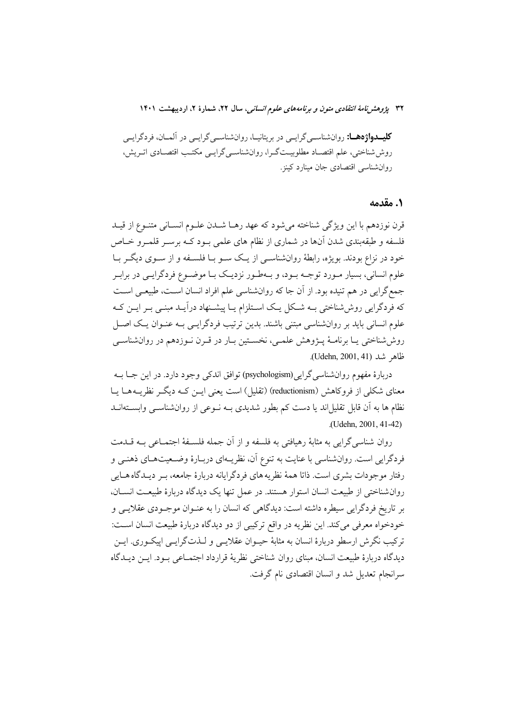**کلیــدواژههــا:** روانشناســي گرايــي در بريتانيــا، روانشناســي گرايــي در آلمــان، فردگرايــي روش شناختی، علم اقتصـاد مطلوبیـتگـرا، روانشناسـیگرایـی مکتـب اقتصـادی اتـریش، روان شناسی اقتصادی جان مینارد کینز.

### 1. مقدمه

قرن نوزدهم با اين ويژگي شناخته مي شود كه عهد رهـا شــدن علــوم انســاني متنــوع از قيــد فلسفه و طبقهبندی شدن آنها در شماری از نظام های علمی بـود کـه برسـر قلمـرو خـاص خود در نزاع بودند. بویژه، رابطهٔ روانشناسـی از یـک سـو بـا فلسـفه و از سـوی دیگـر بـا علوم انسانی، بسیار مـورد توجـه بـود، و بـهطـور نزدیـک بـا موضـوع فردگرایـی در برابـر جمع گرایی در هم تنیده بود. از آن جا که روانشناسی علم افراد انسان است، طبیعی است که فردگرایی روششناختی بـه شـکل یـک اسـتلزام یـا پیشـنهاد درآیـد مبنـی بـر ایــن کـه علوم انسانی باید بر روانشناسی مبتنی باشند. بدین ترتیب فردگرایسی بـه عنـوان یـک اصـل روششاختی یـا برنامـهٔ پـژوهش علمـی، نخسـتین بـار در قـرن نـوزدهم در روانشناسـی ظاهر شد (Udehn, 2001, 41).

دربارهٔ مفهوم روانشناسی گرایی(psychologism) توافق اندکی وجود دارد. در این جـا بــه معنای شکلی از فروکاهش (reductionism) (تقلیل) است یعنی ایــن کــه دیگــر نظریــههــا یــا نظام ها به اّن قابل تقلیلاند یا دست کم بطور شدیدی بــه نــوعی از روانشناســی وابســتهانــد (Udehn. 2001, 41-42)

روان شناسه گرایی به مثابهٔ رهیافتی به فلسفه و از آن جمله فلســفهٔ اجتمــاعی بــه قــدمت فردگرایی است. روانشناسی با عنایت به تنوع آن، نظریـهای دربـارهٔ وضـعیتهـای ذهنـی و رفتار موجودات بشري است. ذاتا همهٔ نظريه هاي فردگرايانه دربارهٔ جامعه، بـر ديـدگاه هـايي روانشناختی از طبیعت انسان استوار هستند. در عمل تنها یک دیدگاه دربارهٔ طبیعـت انســان، بر تاریخ فردگرایی سیطره داشته است: دیدگاهی که انسان را به عنـوان موجـودی عقلایـی و خودخواه معرفي مي كند. اين نظريه در واقع تركيبي از دو ديدگاه دربارهٔ طبيعت انسان است: ترکیب نگرش ارسطو دربارهٔ انسان به مثابهٔ حیــوان عقلایــی و لــذتگرایــی اییکــوری. ایــن ديدگاه دربارهٔ طبيعت انسان، مبناي روان شناختي نظريهٔ قرارداد اجتمـاعي بـود. ايــن ديــدگاه سرانجام تعدیل شد و انسان اقتصادی نام گرفت.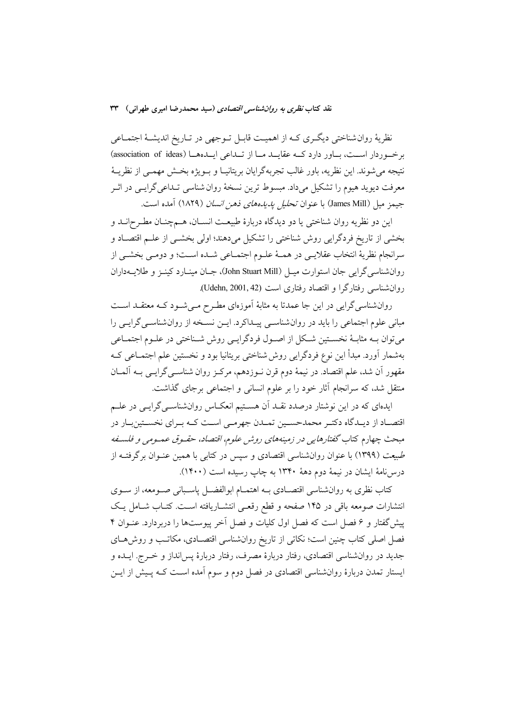نظریهٔ روانشناختی دیگری کـه از اهمیـت قابـل تـوجهی در تـاریخ اندیشـهٔ اجتمـاعی برخوردار است، باور دارد که عقایـد مـا از تـداعی ایـدههـا (association of ideas) نتيجه مي شوند. اين نظريه، باور غالب تجربهگرايان بريتانيـا و بــويژه بخــش مهمــي از نظريــهٔ معرفت دیوید هیوم را تشکیل میداد. مبسوط ترین نسخهٔ روان شناسی تـداعیگرایـی در اثـر جيمز ميل (James Mill) با عنوان *تحليل يديدههاي ذهن انسان* (١٨٢٩) آمده است.

اين دو نظريه روان شناختي يا دو ديدگاه دربارهٔ طبيعـت انســان، هــمچنــان مطــر ح|نــد و بخشی از تاریخ فردگرایی روش شناختی را تشکیل میدهند؛ اولی بخشـی از علـم اقتصـاد و سرانجام نظريهٔ انتخاب عقلايـي در همـهٔ علـوم اجتمـاعي شـده اسـت؛ و دومـي بخشـي از روان شناسی گرایی جان استوارت میــل (John Stuart Mill)، جــان مینــارد کینــز و طلایـــهداران روان شناسی رفتارگرا و اقتصاد رفتاری است (Udehn, 2001, 42).

روانشناسیگرایی در این جا عمدتا به مثابهٔ اَموزهای مطـرح مـیشـود کـه معتقــد اســت مبانی علوم اجتماعی را باید در روانشناسـی پیـداکرد. ایـن نسـخه از روانشناسـی گرایـی را می توان بـه مثابـهٔ نخسـتین شـكل از اصـول فردگرایـی روش شـناختی در علـوم اجتمـاعی بهشمار آورد. مبدأ این نوع فردگرایی روش شناختی بریتانیا بود و نخستین علم اجتمـاعی کـه مقهور أن شد، علم اقتصاد. در نیمهٔ دوم قرن نـوزدهم، مرکـز روان شناسـی گرایـی بــه اَلمــان منتقل شد، که سرانجام آثار خود را بر علوم انسانی و اجتماعی برجای گذاشت.

ایدهای که در این نوشتار درصدد نقـد آن هسـتیم انعکـاس روانشناسـیگرایـی در علـم اقتصـاد از ديـدگاه دكتـر محمدحسـين تمـدن جهرمـي اسـت كـه بـراي نخسـتينبـار در مبحث چهارم كتاب *گفتارهايي در زمينههاي روش علوم، اقتصاد، حقـوق عمـومي و فلسـفه* طبیعت (۱۳۹۹) با عنوان روانشناسی اقتصادی و سپس در کتابی با همین عنـوان برگرفتـه از درس(نامهٔ ایشان در نیمهٔ دوم دههٔ ۱۳۴۰ به چاپ رسیده است (۱۴۰۰).

کتاب نظری به روانشناسی اقتصـادی بــه اهتمــام ابوالفضــل پاســبانی صــومعه، از ســوی انتشارات صومعه باقی در ۱۴۵ صفحه و قطع رقعـی انتشـاریافته اسـت. کتـاب شـامل یـک پیش گفتار و ۶ فصل است که فصل اول کلیات و فصل آخر پیوستها را دربردارد. عنـوان ۴ فصل اصلی کتاب چنین است؛ نکاتی از تاریخ روانشناسی اقتصـادی، مکاتـب و روش۱حای جدید در روانشناسی اقتصادی، رفتار دربارهٔ مصرف، رفتار دربارهٔ پسانداز و خــرج. ایــده و ایستار تمدن دربارهٔ روانشناسی اقتصادی در فصل دوم و سوم آمده اسـت کــه پــیش از ایــن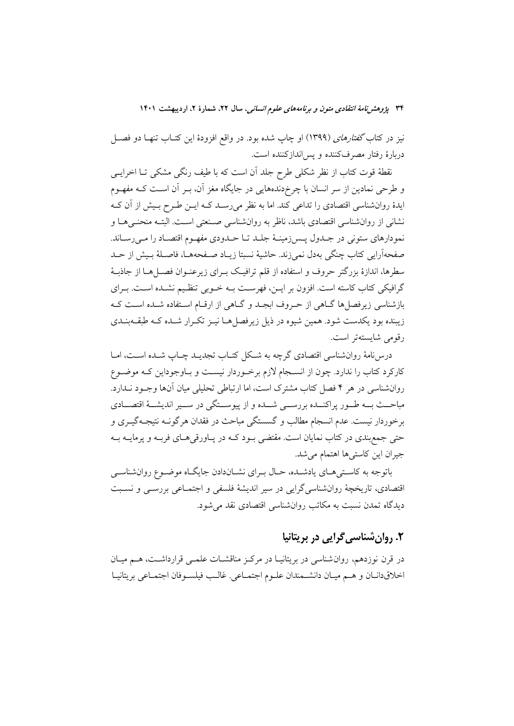نیز در کتاب *گفتارهای (*۱۳۹۹) او چاپ شده بود. در واقع افزودهٔ این کتــاب تنهــا دو فصــل دربارهٔ رفتار مصرفکننده و پس اندازکننده است.

نقطهٔ قوت کتاب از نظر شکلی طرح جلد آن است که با طیف رنگی مشکی تـا اخرایــی و طرحی نمادین از سر انسان با چرخدندههایی در جایگاه مغز آن، بـر آن اسـت کـه مفهـوم ایدهٔ روانشناسی اقتصادی را تداعی کند. اما به نظر میرسـد کـه ایــن طـرح بـیش از آن کــه نشانی از روانشناسی اقتصادی باشد، ناظر به روانشناسی صـنعتی اسـت. البتـه منحنـی۱هـا و نمودارهاي ستوني در جـدول يـس(مينــهٔ جلــد تــا حــدودي مفهــوم اقتصــاد را مــي(ســاند. صفحهآرايي كتاب چنگي بهدل نمي;ند. حاشيهٔ نسبتا زيـاد صـفحههـا، فاصـلهٔ بـيش از حـد سطرها، اندازهٔ بزرگتر حروف و استفاده از قلم ترافیک بـرای زیرعنـوان فصـلهـا از جاذبـهٔ گرافیکی کتاب کاسته است. افزون بر ایــن، فهرسـت بــه خــوبی تنظـیم نشــده اســت. بــرای بازشناسی زیرفصلها گـاهی از حـروف ابجـد و گـاهی از ارقـام اسـتفاده شـده اسـت کـه زیبنده بود یکدست شود. همین شیوه در ذیل زیرفصل هـا نیـز تکـرار شـده کـه طبقـهبنـدی رقومي شايستهتر است.

درسنامهٔ روانشناسی اقتصادی گرچه به شکل کتــاب تجدیــد چــاپ شــده اســت، امــا کارکرد کتاب را ندارد. چون از انسـجام لازم برخـوردار نیسـت و بـاوجوداین کـه موضـوع روانشناسی در هر ۴ فصل کتاب مشترک است، اما ارتباطی تحلیلی میان آنها وجـود نــدارد. مباحــث بــه طــور پراکنــده بررســـي شــده و از پيوســتگي در ســـير انديشـــهٔ اقتصـــادي برخوردار نيست. عدم انسجام مطالب و گسستگي مباحث در فقدان هرگونــه نتيجــهگيــري و حتی جمع بندی در کتاب نمایان است. مقتضی بود کـه در پـاورقی هـای فربـه و پرمایــه بـه جیران این کاستیها اهتمام میشد.

باتوجه به کاستههای یادشده، حـال بـرای نشـاندادن جایگـاه موضـوع روانشناســی اقتصادی، تاریخچهٔ روانشناسیگرایی در سیر اندیشهٔ فلسفی و اجتمـاعی بررسـی و نسـبت دیدگاه تمدن نسبت به مکاتب روانشناسی اقتصادی نقد می شود.

# ٢. روان شناسي گرايي در بريتانيا

در قرن نوزدهم، روان شناسی در بریتانیـا در مرکـز مناقشـات علمـی قرارداشـت، هــم میـان اخلاقدانان و هم ميان دانشمندان علـوم اجتمـاعي. غالـب فيلسـوفان اجتمـاعي بريتانيـا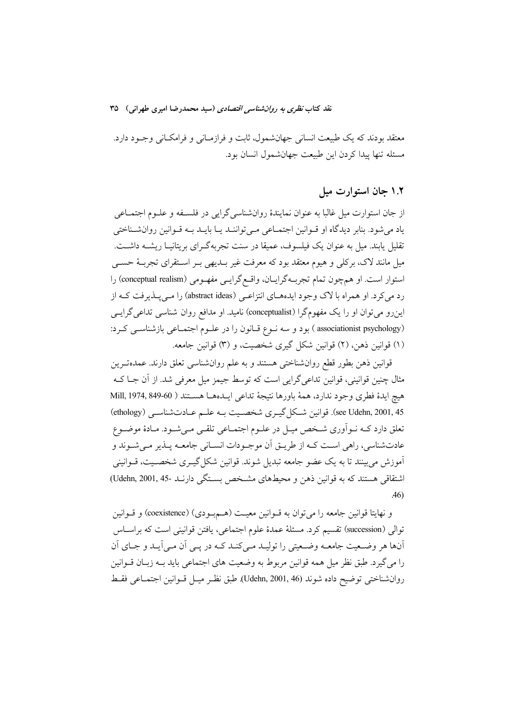معتقد بودند که یک طبیعت انسانی جهانشمول، ثابت و فرازمـانی و فرامکـانی وجـود دارد. مسئله تنها ييدا كردن اين طبيعت جهانشمول انسان بود.

۱.۲ جان استوارت میل

از جان استوارت ميل غالبا به عنوان نمايندهٔ روانشناسي گرايي در فلسـفه و علـوم اجتمـاعي یاد می شود. بنابر دیدگاه او قـوانین اجتمـاعی مـی تواننـد یـا بایـد بـه قـوانین روانشـناختی تقلیل پابند. میل به عنوان یک فیلسوف، عمیقا در سنت تجربهگـرای بریتانیـا ریشــه داشــت. میل مانند لاک، برکلی و هیوم معتقد بود که معرفت غیر بـدیهی بـر اسـتقرای تجربـهٔ حســی استوار است. او همچون تمام تجربهگرایـان، واقـع گرایـبی مفهـومی (conceptual realism) را رد می کرد. او همراه با لاک وجود ایدههـای انتزاعـی (abstract ideas) را مـیپـذیرفت کـه از این رو می توان او را یک مفهومگرا (conceptualist) نامید. او مدافع روان شناسی تداعی گرایسی (associationist psychology) بود و سه نـوع قـانون را در علـوم اجتمـاعي بازشناسـي كـرد: (۱) قوانین ذهن، (۲) قوانین شکل گیری شخصیت، و (۳) قوانین جامعه.

قوانین ذهن بطور قطع روان شناختی هستند و به علم روان شناسی تعلق دارند. عمدهتـرین مثال چنین قوانینی، قوانین تداعیگرایی است که توسط جیمز میل معرفی شد. از آن جـا کــه هيچ ايدة فطري وجود ندارد، همهٔ باورها نتيجهٔ تداعي ايـدههـا هسـتند ( Mill, 1974, 849-60 see Udehn, 2001, 45). قوانين شكل گيـري شخصـيت بـه علـم عـادتشناسـي (ethology) تعلق دارد کـه نــواَوري شــخص ميــل در علــوم اجتمــاعي تلقــي مــيشــود. مــادهٔ موضــوع عادتشناسي، راهي اسـت كـه از طريــق اَن موجــودات انســاني جامعــه پــذير مــيشــوند و اَموزش می بینند تا به یک عضو جامعه تبدیل شوند. قوانین شکل گیــری شخصــیت، قــوانینی اشتقاقی هستند که به قوانین ذهن و محیطهای مشخص بستگی دارنـد -Udehn, 2001, 45)  $.46$ 

و نهايتا قوانين جامعه را مي توان به قــوانين معيــت (هـــمبــودي) (coexistence) و قــوانين توالي (succession) تقسيم كرد. مسئلة عمدة علوم اجتماعي، يافتن قوانيني است كه براسـاس اّنها هر وضعیت جامعــه وضـعیتی را تولیــد مــی کنــد کــه در یــی اَن مــی اَیــد و جــای اَن را مي گيرد. طبق نظر ميل همه قوانين مربوط به وضعيت هاي اجتماعي بايد بـه زبـان قــوانين روان شناختي توضيح داده شوند (Udehn, 2001, 46). طبق نظـر ميـل قـوانين اجتمـاعي فقـط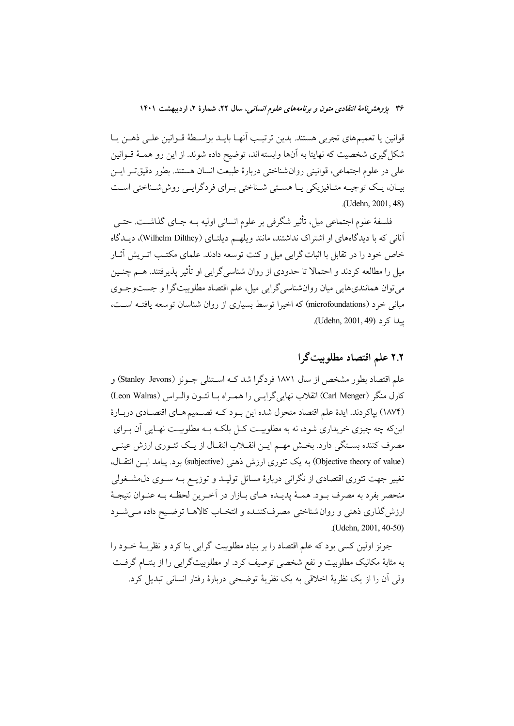قوانين يا تعميمهاي تجربي هستند. بدين ترتيب أنهـا بايــد بواسـطهٔ قــوانين علــي ذهــن يــا شکل گیری شخصیت که نهایتا به آنها وابسته اند، توضیح داده شوند. از این رو همـهٔ قــوانین على در علوم اجتماعي، قوانيني روان شناختي دربارة طبيعت انسان هستند. بطور دقيق تـر ايـن بیـان، یـک توجیـه متـافیزیکی یـا هسـتی شـناختی بـرای فردگرایـی روششـناختی اسـت (Udehn. 2001, 48)

فلسفهٔ علوم اجتماعی میل، تأثیر شگرفی بر علوم انسانی اولیه بــه جــای گذاشــت. حتــی آنانی که با دیدگاههای او اشتراک نداشتند، مانند ویلهـم دیلتـای (Wilhelm Dilthey)، دیـدگاه خاص خود را در تقابل با اثبات گرایی میل و کنت توسعه دادند. علمای مکتب اتـریش آثـار میل را مطالعه کردند و احتمالا تا حدودی از روان شناسی گرایی او تأثیر یذیرفتند. هــم چنــین میتوان همانندیهایی میان روانشناسیگرایی میل، علم اقتصاد مطلوبیتگرا و جستوجـوی مبانی خرد (microfoundations) که اخیرا توسط بسیاری از روان شناسان توسعه یافتـه اسـت، يىدا كى د (Udehn, 2001, 49).

### ٢.٢ علم اقتصاد مطلوبيت گرا

علم اقتصاد بطور مشخص از سال ۱۸۷۱ فردگرا شد کـه اسـتنلي جــونز (Stanley Jevons) و كارل منكر (Carl Menger) انقلاب نهايي گرايسي را همراه بـا لئـون والـراس (Leon Walras) (١٨٧۴) بپاکردند. ايدهٔ علم اقتصاد متحول شده اين بـود کـه تصـميم هـاي اقتصـادي دربـارهٔ اینکه چه چیزی خریداری شود، نه به مطلوبیت کـل بلکـه بـه مطلوبیـت نهـایی آن بـرای مصرف کننده بستگی دارد. بخش مهـم ایـن انقـلاب انتقـال از یـک تئـوری ارزش عینـی (Objective theory of value) به یک تئوری ارزش ذهنی (subjective) بود. پیامد ایسن انتقال، تغییر جهت تئوری اقتصادی از نگرانی دربارهٔ مسائل تولیـد و توزیــع بــه ســوی دل.مشــغولی منحصر بفرد به مصرف بـود. همـهٔ پديـده هـاي بـازار در اَخـرين لحظـه بـه عنـوان نتيجـهٔ ارزش گذاري ذهني و روان شناختي مصرفكننـده و انتخـاب كالاهـا توضـيح داده مـي شـود .(Udehn, 2001, 40-50)

جونز اولین کسی بود که علم اقتصاد را بر بنیاد مطلوبیت گرایی بنا کرد و نظریــهٔ خــود را به مثابهٔ مکانیک مطلوبیت و نفع شخصی توصیف کرد. او مطلوبیتگرایی را از بنتـام گرفـت ولي آن را از يک نظريۀ اخلاقي به يک نظريۀ توضيحي دربارۀ رفتار انساني تبديل کرد.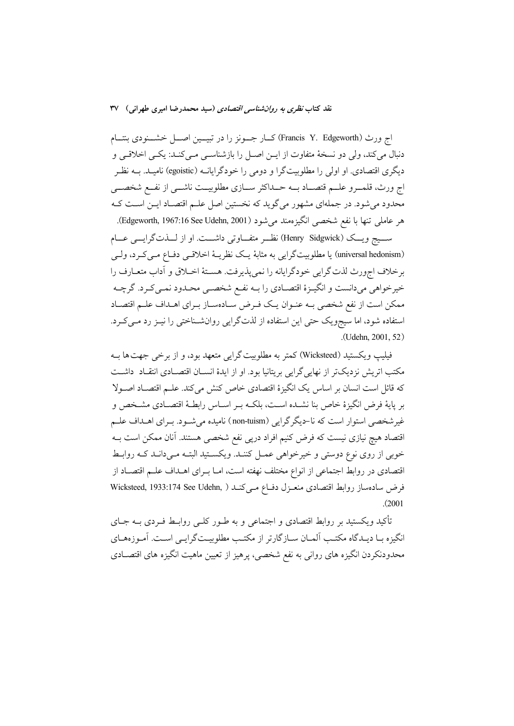اج ورث (Francis Y. Edgeworth) كــار جـــونز را در تبيـــين اصـــل خشـــنودى بنتـــام دنبال می کند، ولی دو نسخهٔ متفاوت از ایــن اصــل را بازشناســی مــی کنــد: یکــی اخلاقــی و دیگری اقتصادی. او اولی را مطلوبیتگرا و دومی را خودگرایانــه (egoistic) نامیــد. بــه نظــر اج ورث، قلمــرو علــم قتصــاد بــه حــداكثر ســازي مطلوبيــت ناشــي از نفــع شخصــي محدود میشود. در جملهای مشهور میگوید که نخستین اصل علـم اقتصـاد ایــن اسـت کــه هر عاملي تنها با نفع شخصي انگيزهمند مي شود (Edgeworth, 1967:16 See Udehn, 2001).

ســيج ويـــك (Henry Sidgwick) نظــر متفـــاوتي داشـــت. او از لـــذتگرايـــي عـــام (universal hedonism) یا مطلوبیتگرایی به مثابهٔ یک نظریـهٔ اخلاقـی دفـاع مـیکـرد، ولـی برخلاف اجورث لذت گرايي خودگرايانه را نمي يذيرفت. هسـتۀ اخــلاق و اَداب متعــارف را خيرخواهي مي دانست و انگيــزهٔ اقتصــادي را بــه نفــع شخصــي محــدود نمــي كــرد. گرچــه ممكن است از نفع شخصي بـه عنـوان يـك فـرض سـادهسـاز بـراي اهـداف علـم اقتصـاد استفاده شود، اما سیجویک حتی این استفاده از لذتگرایی روانشـناختی را نیـز رد مـیکـرد. (Udehn, 2001, 52)

فيليپ ويكستيد (Wicksteed) كمتر به مطلوبيت گرايي متعهد بود، و از برخي جهت ها بـه مکتب اتریش نزدیکتر از نهاییگرایی بریتانیا بود. او از ایدهٔ انســان اقتصــادی انتقــاد داشــت كه قائل است انسان بر اساس يك انگيزهٔ اقتصادي خاص كنش مي كند. علـم اقتصـاد اصـولا بر پایهٔ فرض انگیزهٔ خاص بنا نشـده اسـت، بلکـه بـر اسـاس رابطـهٔ اقتصـادی مشـخص و غیرشخصی استوار است که نا-دیگرگرایی (non-tuism) نامیده میشـود. بـرای اهـداف علـم اقتصاد هیچ نیازی نیست که فرض کنیم افراد درپی نفع شخصی هستند. آنان ممکن است بــه خوبی از روی نوع دوستی و خیرخواهی عمـل کننـد. ویکسـتید البتـه مـیدانـد کـه روابـط اقتصادی در روابط اجتماعی از انواع مختلف نهفته است، امـا بـرای اهــداف علــم اقتصــاد از فرض سادهساز روابط اقتصادى منعـزل دفـاع مـىكنـد ( Wicksteed, 1933:174 See Udehn,  $(2001$ 

تأکید ویکستید بر روابط اقتصادی و اجتماعی و به طـور کلـی روابـط فـردی بــه جــای انگیزه بـا دیـدگاه مکتـب آلمـان سـازگارتر از مکتـب مطلوبیـتگرایـبی اسـت. آمـوزههـای محدودنکردن انگیزه های روانی به نفع شخصی، پرهیز از تعیین ماهیت انگیزه های اقتصــادی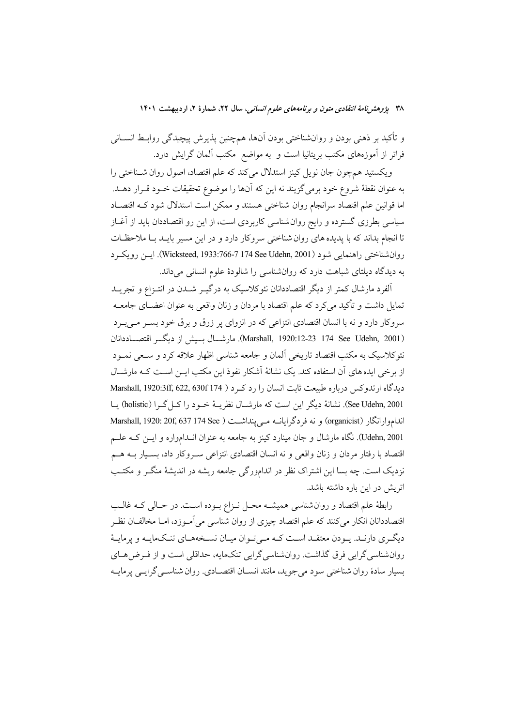و تأکید بر ذهنی بودن و روانشناختی بودن اَنها، همچنین پذیرش پیچیدگی روابـط انســانی فراتر از آموزههای مکتب بریتانیا است و به مواضع مکتب آلمان گرایش دارد.

ویکستید همچون جان نویل کینز استدلال میکند که علم اقتصاد، اصول روان شــناخت<sub>ی</sub> را به عنوان نقطهٔ شروع خود برمیگزیند نه این که آنها را موضوع تحقیقات خــود قــرار دهــد. اما قوانين علم اقتصاد سرانجام روان شناختي هستند و ممكن است استدلال شود كـه اقتصـاد سیاسی بطرزی گسترده و رایج روان شناسی کاربردی است، از این رو اقتصاددان باید از آغــاز تا انجام بداند که با پدیده های روان شناختی سروکار دارد و در این مسیر بایـد بـا ملاحظـات روان شناختی راهنمایی شود (Wicksteed, 1933:766-7 174 See Udehn, 2001). ایس رویکرد به دیدگاه دیلتای شباهت دارد که روانشناسی را شالودهٔ علوم انسانی میداند.

الفرد مارشال کمتر از دیگر اقتصاددانان نئوکلاسیک به درگیــر شــدن در انتــزاع و تجریــد تمایل داشت و تأکید می کرد که علم اقتصاد با مردان و زنان واقعی به عنوان اعضــای جامعــه سروکار دارد و نه با انسان اقتصادی انتزاعی که در انزوای پر زرق و برق خود بسـر مـیبـرد (Marshall, 1920:12-23 174 See Udehn, 2001). مارشــال بسيش از ديگــر اقتصــاددانان نئوكلاسيك به مكتب اقتصاد تاريخي آلمان و جامعه شناسي اظهار علاقه كرد و سـعي نمــود از برخی ایده های آن استفاده کند. یک نشانهٔ آشکار نفوذ این مکتب ایـن اسـت کـه مارشـال ديدگاه ارتدوكس درباره طبيعت ثابت انسان را رد كرد ( Marshall, 1920:3ff, 622, 630f 174 See Udehn, 2001). نشانهٔ دیگر این است که مارشـال نظریــهٔ خـود را کــل گــرا (holistic) یــا انداموارانگار (organicist) و نه فردگرایانــه مــی پنداشــت ( Marshall, 1920: 20f, 637 174 See Udehn, 2001). نگاه مارشال و جان مینارد کینز به جامعه به عنوان انــدامواره و ایــن کــه علــم اقتصاد با رفتار مردان و زنان واقعی و نه انسان اقتصادی انتزاعی سـروکار داد، بسـيار بــه هــم نزدیک است. چه بسا این اشتراک نظر در اندامورگی جامعه ریشه در اندیشهٔ منگـر و مکتـب اتریش در این باره داشته باشد.

رابطهٔ علم اقتصاد و روان شناسی همیشـه محـل نـزاع بـوده اسـت. در حـالی کـه غالـب اقتصاددانان انکار میکنند که علم اقتصاد چیزی از روان شناسی میآمـوزد، امـا مخالفـان نظـر دیگری دارنـد. پـودن معتقـد اسـت کـه مـی تـوان میـان نسـخههـای تنـکمایـه و پرمایـهٔ روانشناسی گرایی فرق گذاشت. روان شناسی گرایی تنکمایه، حداقلی است و از فـرض هـای بسیار سادهٔ روان شناختی سود می جوید، مانند انســان اقتصــادی. روان شناســی گرایــی پرمایــه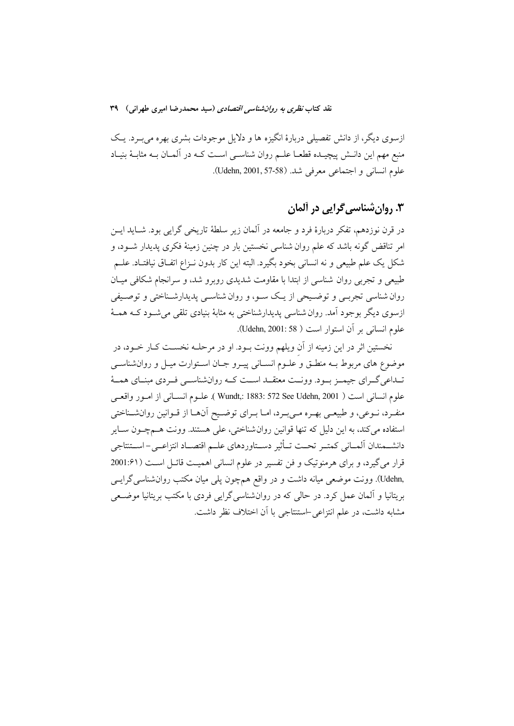ازسوی دیگر، از دانش تفصیلی دربارهٔ انگیزه ها و دلایل موجودات بشری بهره میبـرد. یـک منبع مهم این دانــش پیچیــده قطعــا علــم روان شناســی اســت کــه در آلمــان بــه مثابــهٔ بنیــاد علوم انساني و اجتماعي معرفي شد. (Udehn, 2001, 57-58).

# ۰۳ روان شناسی گرایی در آلمان

در قرن نوزدهم، تفكر دربارهٔ فرد و جامعه در آلمان زير سلطهٔ تاريخي گرايي بود. شــايد ايــن امر تناقض گونه باشد که علم روان شناسی نخستین بار در چنین زمینهٔ فکری پدیدار شــود، و شکل یک علم طبیعی و نه انسانی بخود بگیرد. البته این کار بدون نـزاع اتفـاق نیافتـاد. علــم طبیعی و تجربی روان شناسی از ابتدا با مقاومت شدیدی روبرو شد، و سرانجام شکافی میـان روان شناسی تجربـی و توضـیحی از یـک سـو، و روان شناسـی پدیدارشـناختی و توصـیفی ازسوی دیگر بوجود آمد. روان شناسی پدیدارشناختی به مثابهٔ بنیادی تلقی میشـود کــه همــهٔ علوم انساني بر أن استوار است ( Udehn, 2001: 58).

نخستین اثر در این زمینه از آن ویلهم وونت بــود. او در مرحلــه نخســت کــار خــود، در موضوع های مربوط بـه منطـق و علـوم انسـانی پیـرو جـان اسـتوارت میـل و روانشناســی تـداعي گــراي جيمــز بــود. وونــت معتقــد اســت كــه روانشناســي فــردي مبنــاي همــهٔ علوم انساني است ( Wundt,: 1883: 572 See Udehn, 2001 ). علـوم انسـاني از امـور واقعـي منفـرد، نـوعي، و طبيعـي بهـره مـيبـرد، امـا بـراي توضـيح آنهـا از قـوانين روانشـناختي استفاده مي كند، به اين دليل كه تنها قوانين روان شناختي، على هستند. وونت هــمچــون ســاير دانشـمندان المـاني كمتـر تحـت تـأثير دسـتاوردهاي علـم اقتصـاد انتزاعـي- اسـتنتاجي قرار می گیرد، و برای هرمنوتیک و فن تفسیر در علوم انسانی اهمیت قائـل اسـت ( ۱:۶۱20 ,Udehn). وونت موضعی میانه داشت و در واقع همچون پلی میان مکتب روان شناسی گرایسی بریتانیا و آلمان عمل کرد. در حالی که در روانشناسیگرایی فردی با مکتب بریتانیا موضعی مشابه داشت، در علم انتزاعی استنتاجی با آن اختلاف نظر داشت.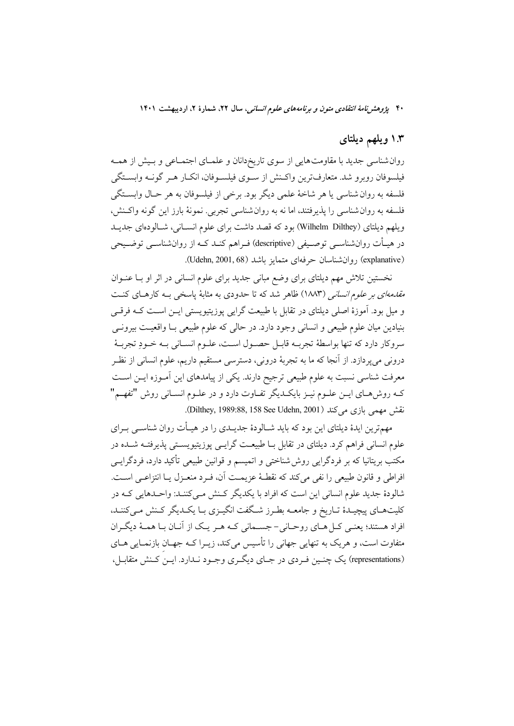### ۱.۳ ویلهم دیلتای

روان شناسی جدید با مقاومتهایی از سوی تاریخدانان و علمـای اجتمـاعی و بـیش از همـه فیلسوفان روبرو شد. متعارفترین واکـنش از سـوی فیلسـوفان، انکـار هـر گونـه وابسـتگی فلسفه به روان شناسي يا هر شاخهٔ علمي ديگر بود. برخي از فيلسوفان به هر حـال وابسـتگي فلسفه به روان شناسی را پذیرفتند، اما نه به روان شناسی تجربی. نمونهٔ بارز این گونه واکـنش، ويلهم ديلتاي (Wilhelm Dilthey) بود كه قصد داشت براي علوم انسـاني، شـالودهاي جديــد در هیــأت روانشناســی توصــیفی (descriptive) فــراهم کنــد کــه از روانشناســی توضــیحی (explanative) روان شناسان حرفهای متمایز باشد (Udehn, 2001, 68).

نخستین تلاش مهم دیلتای برای وضع مبانی جدید برای علوم انسانی در اثر او بـا عنــوان *مقدمهای بر علوم انسانی (*۱۸۸۳) ظاهر شد که تا حدودی به مثابهٔ پاسخی بـه کارهـای کنـت و میل بود. آموزهٔ اصلی دیلتای در تقابل با طبیعت گرایی پوزیتیویستی ایــن اســت کــه فرقــی .<br>بنيادين ميان علوم طبيعي و انساني وجود دارد. در حالي كه علوم طبيعي بــا واقعيــت بيرونــي سروكار دارد كه تنها بواسطهٔ تجربــه قابــل حصــول اســت، علــوم انســاني بــه خــودِ تجربــهٔ درونی میپردازد. از آنجا که ما به تجربهٔ درونی، دسترسی مستقیم داریم، علوم انسانی از نظـر معرفت شناسی نسبت به علوم طبیعی ترجیح دارند. یکی از پیامدهای این آمـوزه ایــن اســت کـه روشههـای ایــن علــوم نیــز بایکــدیگر تفــاوت دارد و در علــوم انســانی روش "تفهــم" نقش مهمي بازي مي كند (Dilthey, 1989:88, 158 See Udehn, 2001).

مهمترین ایدهٔ دیلتای این بود که باید شــالودهٔ جدیــدی را در هیــأت روان شناســی بــرای علوم انسانی فراهم کرد. دیلتای در تقابل بــا طبیعــت گرایــی یوزیتیویســتی پذیرفتــه شــده در مکتب بریتانیا که بر فردگرایی روش شناختی و اتمیسم و قوانین طبیعی تأکید دارد، فردگرایــی افراطي و قانون طبيعي را نفي مي كند كه نقطـهٔ عزيمـت آن، فـرد منعـزل پــا انتزاعــي اســت. شالودهٔ جدید علوم انسانی این است که افراد با یکدیگر کـنش مـیکننـد: واحـدهایی کـه در کلیتهـای پیچیـدۀ تـاریخ و جامعــه بطـرز شـگفت انگیـزی بـا یکـدیگر کـنش مــیکننـد، افراد هستند؛ یعنـی کـل هـای روحـانی- جســمانی کـه هـر یـک از آنـان بـا همـهٔ دیگـران متفاوت است، و هريک به تنهايي جهاني را تأسيس مي کند، زيــرا کــه جهــان بازنمــايي هــاي (representations) یک چنبین فـردی در جـای دیگـری وجـود نـدارد. ایـن کـنش متقابـل،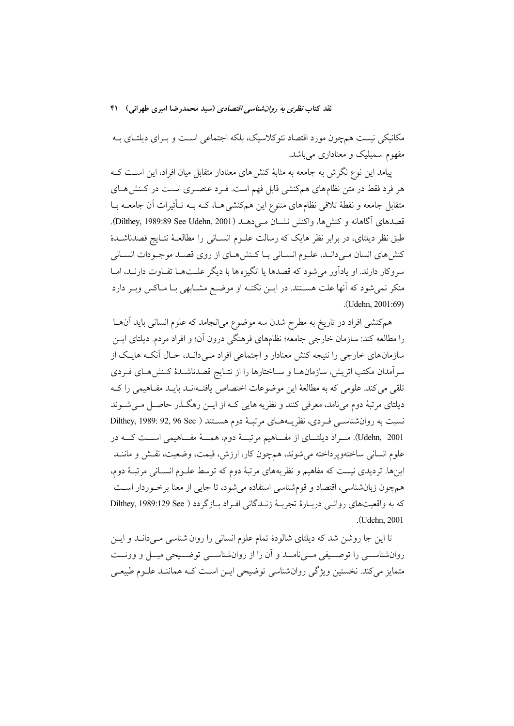مکانیکی نیست همچون مورد اقتصاد نئوکلاسیک، بلکه اجتماعی است و بـرای دیلتـای بـه مفهوم سمبلیک و معناداری میباشد.

پیامد این نوع نگرش به جامعه به مثابهٔ کنش های معنادار متقابل میان افراد، این اسـت کــه هر فرد فقط در متن نظامهای همکنشی قابل فهم است. فـرد عنصـری اسـت در کـنش۵هـای متقابل جامعه و نقطهٔ تلاقی نظامهای متنوع این همکنشی هـا، کـه بــه تـأثیرات آن جامعــه بــا قصدهای آگاهانه و کنشها، واکنش نشـان مـیدهــد (Dilthey, 1989:89 See Udehn, 2001). طبق نظر دیلتای، در برابر نظر هایک که رسالت علــوم انســانی را مطالعــهٔ نتــایج قصدناشــدهٔ كنش هاي انسان مـيدانـد، علـوم انسـاني بـا كـنش١هـاي از روى قصـد موجـودات انسـاني سروكار دارند. او يادآور مي شود كه قصدها يا انگيزه ها با ديگر علـتهـا تفـاوت دارنـد، امـا منکر نمی شود که آنها علت هسـتند. در ایــن نکتــه او موضـع مشــابهی بــا مــاکس وبــر دارد (Udehn, 2001:69).

همکنشی افراد در تاریخ به مطرح شدن سه موضوع میانجامد که علوم انسانی باید آن ها را مطالعه کند: سازمان خارجی جامعه؛ نظامهای فرهنگی درون آن؛ و افراد مردم. دیلتای ایــن سازمانهای خارجی را نتیجه کنش معنادار و اجتماعی افراد مـی دانـد، حـال آنکـه هایـک از سرآمدان مکتب اتریش، سازمانهـا و سـاختارها را از نتـایج قصدناشـدهٔ کـنش۵هـای فـردی تلقی می کند. علومی که به مطالعهٔ این موضوعات اختصاص یافت-انـد بایـد مفـاهیمی را کـه دیلتای مرتبهٔ دوم میiامد، معرفی کنند و نظریه هایی کـه از ایــن رهگــذر حاصــل مــی شــوند نسبت به روان شناسـی فـردی، نظریــههـای مرتبـهٔ دوم هسـتند ( Dilthey, 1989: 92, 96 See Udehn, 2001). مسراد دیلتسای از مفساهیم مرتبسهٔ دوم، همسهٔ مفساهیمی اسست کسه در علوم انسانی ساختهوپرداخته میشوند، همچون کار، ارزش، قیمت، وضعیت، نقش و ماننــد اینها. تردیدی نیست که مفاهیم و نظریههای مرتبهٔ دوم که توسط علـوم انسـانی مرتبـهٔ دوم، همچون زبانشناسی، اقتصاد و قومشناسی استفاده میشود، تا جایی از معنا برخـوردار اسـت كه به واقعيتهاي روانبي دربـارة تجربــة زنــدگاني افـراد بــازگردد ( Dilthey, 1989:129 See .(Udehn, 2001).

تا این جا روشن شد که دیلتای شالودهٔ تمام علوم انسانی را روان شناسی مـیدانــد و ایــن روانشناســي را توصــيفي مــيiامــد و آن را از روانشناســي توضــيحي ميــل و وونــت متمایز می کند. نخستین ویژگی روان شناسی توضیحی ایـن اسـت کـه هماننـد علـوم طبیعـی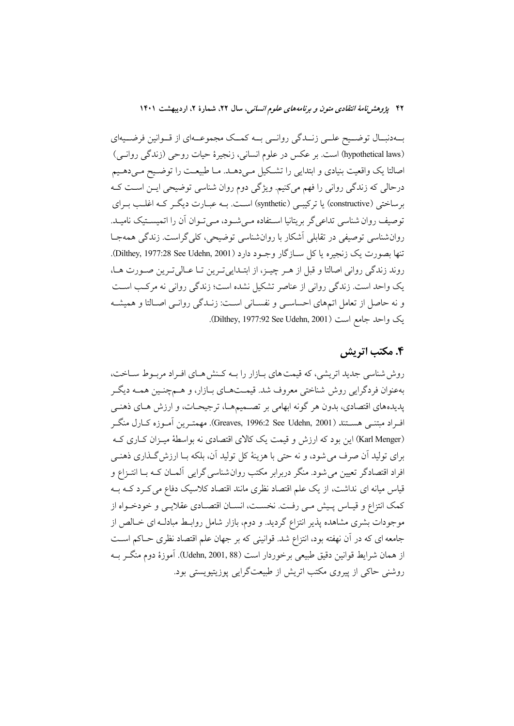بهدنبال توضیح علمی زنـدگی روانمی بـه کمـک مجموعـهای از قـوانین فرضـیهای (hypothetical laws) است. بر عكس در علوم انساني، زنجيرهٔ حيات روحي (زندگي روانـي) اصالتا یک واقعیت بنیادی و ابتدایی را تشکیل مـیدهــد. مـا طبیعــت را توضــیح مـیدهــیم درحالی که زندگی روانی را فهم میکنیم. ویژگی دوم روان شناسی توضیحی ایــن اســت کــه برساختی (constructive) یا ترکیبے (synthetic) است. بـه عبـارت دیگـر کـه اغلـب بـرای توصیف روان شناسی تداعیگر بریتانیا اسـتفاده مـیشـود، مـیتـوان آن را اتمیسـتیک نامیـد. روانشناسی توصیفی در تقابلی آشکار با روانشناسی توضیحی، کلیگراست. زندگی همهجـا تنها بصورت يک زنجيره يا کل ســازگار وجــود دارد (Dilthey, 1977:28 See Udehn, 2001). روند زندگی روانی اصالتا و قبل از هـر چیـز، از ابتـدایی تـرین تـا عـالیتـرین صـورت هـا، یک واحد است. زندگی روانی از عناصر تشکیل نشده است؛ زندگی روانی نه مرکب است و نه حاصل از تعامل اتمهای احساسـی و نفسـانی اسـت: زنـدگی روانـی اصـالتا و همیشـه یک واحد جامع است (Dilthey, 1977:92 See Udehn, 2001).

### ۴. مکتب اتریش

روش شناسی جدید اتریشی، که قیمت های بیازار را بیه کینش هیای افیراد مربوط سیاخت، بهعنوان فردگرايي روش شناختي معروف شد. قيمـتهـاي بـازار، و هـمچنـين همـه ديگـر پدیدههای اقتصادی، بدون هر گونه ابهامی بر تصمیمها، ترجیحـات، و ارزش هـای ذهنـی اف اد مبتنبي هســتند (Greaves, 1996:2 See Udehn, 2001). مهمتـرين أمـوزه كــارل منگــر (Karl Menger) این بود که ارزش و قیمت یک کالای اقتصادی نه بواسطهٔ میـزان کـاری کـه براي توليد أن صرف مي شود، و نه حتى با هزينهٔ كل توليد أن، بلكه بــا ارزش گــذاري ذهنــي افراد اقتصادگر تعیین می شود. منگر دربرابر مکتب روان شناسی گرایی آلمـان کـه بـا انتـزاع و قیاس میانه ای نداشت، از یک علم اقتصاد نظری مانند اقتصاد کلاسیک دفاع می کـرد کــه بــه كمك انتزاع و قيـاس يـيش مـي رفـت. نخسـت، انســان اقتصــادي عقلايـي و خودخــواه از موجودات بشری مشاهده پذیر انتزاع گردید. و دوم، بازار شامل روابـط مبادلـه ای خــالص از جامعه ای که در آن نهفته بود، انتزاع شد. قوانینی که بر جهان علم اقتصاد نظری حـاکم اسـت از همان شرايط قوانين دقيق طبيعي برخوردار است (Udehn, 2001, 88). آموزهٔ دوم منگــر بــه روشنی حاکی از پیروی مکتب اتریش از طبیعتگرایی پوزیتبویستی بود.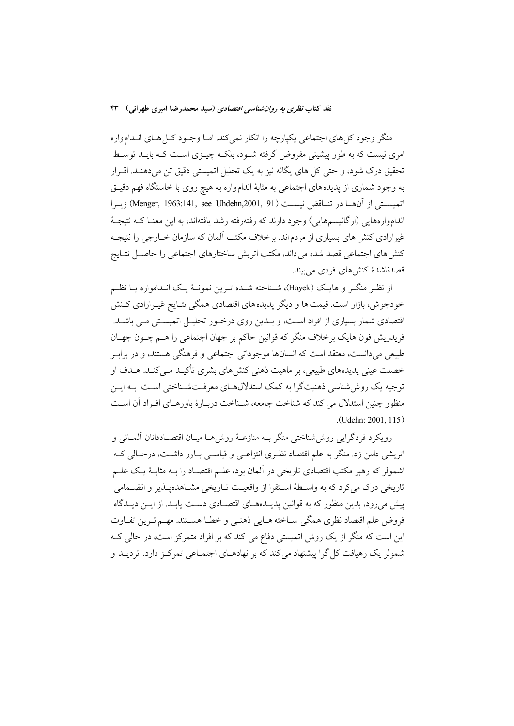منگر وجود کل های اجتماعی یکپارچه را انکار نمی کند. امـا وجـود کـل هـای انــدامواره امری نیست که به طور پیشینی مفروض گرفته شـود، بلکـه چیــزی اسـت کـه بایــد توسـط تحقیق درک شود، و حتی کل های یگانه نیز به یک تحلیل اتمیستی دقیق تن میدهنـد. اقــرار به وجود شماری از پدیدههای اجتماعی به مثابهٔ اندامواره به هیچ روی با خاستگاه فهم دقیـق اتميسـتي از آنهــا در تنــاقض نيســت (Menger, 1963:141, see Uhdehn,2001, 91) زيــرا انداموارههايي (ارگانيسمهايي) وجود دارند كه رفتهرفته رشد يافتهاند، به اين معنـا كــه نتيجــهٔ غیرارادی کنش های بسیاری از مردم اند. برخلاف مکتب آلمان که سازمان خــارجی را نتیجــه كنش هاي اجتماعي قصد شده مي داند، مكتب اتريش ساختارهاي اجتماعي را حاصـل نتـايج قصدناشدهٔ کنش های فردی می بیند.

از نظـر منگــر و هايــک (Hayek)، شــناخته شــده تــرين نمونــهٔ يــک انــدامواره يــا نظــم خودجوش، بازار است. قیمت ها و دیگر پدیده های اقتصادی همگی نتـایج غیـرارادی كـنش اقتصادی شمار بسیاری از افراد اسـت، و بــدین روی درخــور تحلیــل اتمیســتی مــی باشــد. فریدریش فون هایک برخلاف منگر که قوانین حاکم بر جهان اجتماعی را هـم چــون جهــان طبیعی میدانست، معتقد است که انسانها موجوداتی اجتماعی و فرهنگی هستند، و در براب خصلت عینی پدیدههای طبیعی، بر ماهیت ذهنی کنش های بشری تأکیـد مـی کنـد. هـدف او توجیه یک روششناسی ذهنیتگرا به کمک استدلالهـای معرفـتشـناختی اسـت. بـه ایـن منظور چنین استدلال می کند که شناخت جامعه، شـناخت دربـارهٔ باورهـای افـراد اَن اسـت .(Udehn: 2001, 115)

رويكرد فردگرايي روش شناختي منگر بــه منازعــهٔ روش٨هــا ميــان اقتصــاددانان آلمــاني و اتریشی دامن زد. منگر به علم اقتصاد نظـری انتزاعـی و قیاسـی بـاور داشـت، درحـالی کـه اشمولر که رهبر مکتب اقتصادی تاریخی در آلمان بود، علـم اقتصـاد را بـه مثابـهٔ یـک علـم تاریخی درک می کرد که به واسطهٔ استقرا از واقعیت تـاریخی مشـاهدهیـذیر و انضـمامی پیش می رود، بدین منظور که به قوانین پدیـدههـای اقتصـادی دسـت پابـد. از ایـن دیـدگاه فروض علم اقتصاد نظري همگي سـاخته هـايي ذهنـي و خطـا هسـتند. مهـم تـرين تفـاوت این است که منگر از یک روش اتمیستی دفاع می کند که بر افراد متمرکز است، در حالی ک شمولر یک رهیافت کل گرا پیشنهاد می کند که بر نهادهـای اجتمـاعی تمرکـز دارد. تردیــد و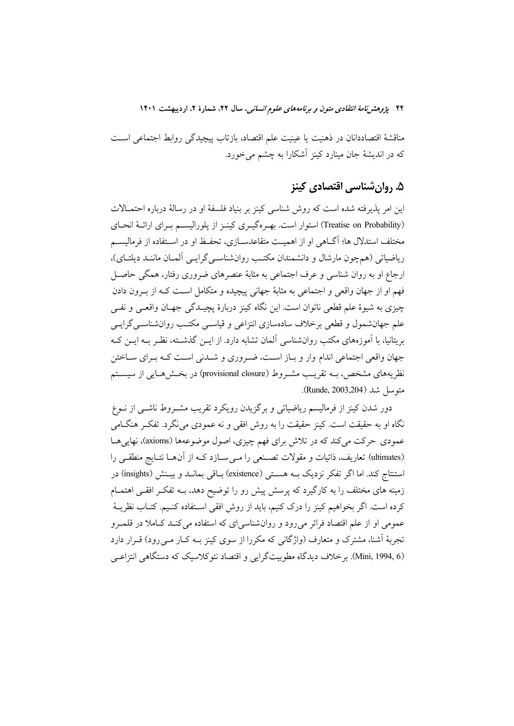مناقشهٔ اقتصاددانان در ذهنیت یا عینیت علم اقتصاد، بازتاب پیچیدگی روابط اجتماعی است که در اندیشهٔ جان مینارد کینز اَشکارا به چشم می خورد.

# ۵. روان شناسی اقتصادی کینز

این امر پذیرفته شده است که روش شناسی کینز بر بنیاد فلسفهٔ او در رسالهٔ درباره احتمـالات (Treatise on Probability) استوار است. بهـرهگیـری کینـز از یلورالیســم بـرای ارائــهٔ انحـای مختلف استدلال ها؛ آگــاهی او از اهمیــت متقاعدســازی، تحفــظ او در اســتفاده از فرمالیســم ریاضیاتی (همچون مارشال و دانشمندان مکتب روانشناسبی گرایسی آلمـان ماننـد دیلتـای)، ارجاع او به روان شناسی و عرف اجتماعی به مثابهٔ عنصرهای ضروری رفتار، همگی حاصـل فهم او از جهان واقعی و اجتماعی به مثابهٔ جهانی پیچیده و متکامل است کـه از بــرون دادن چیزی به شیوهٔ علم قطعی ناتوان است. این نگاه کینز دربارهٔ پچیـدگی جهـان واقعـی و نفـی علم جهانشمول و قطعی برخلاف سادهسازی انتزاعی و قیاسـی مکتـب روانشناسـی گرایـی بریتانیا، با آموزههای مکتب روانشناسی آلمان تشابه دارد. از ایــن گذشــته، نظـر بــه ایــن کــه جهان واقعی اجتماعی اندام وار و بـاز اسـت، ضـروری و شـدنی اسـت کـه بـرای سـاختن نظریههای مشخص، بــه تقریــب مشــروط (provisional closure) در بخــش۵هــایی از سیســتم متوسل شد (Runde, 2003,204).

دور شدن کینز از فرمالیسم ریاضیاتی و برگزیدن رویکرد تقریب مشــروط ناشــی از نــوع نگاه او به حقیقت است. کینز حقیقت را به روش افقی و نه عمودی می $\mathcal{Z}_\zeta$ د. تفکـر هنگــامی عمودي حركت مي كند كه در تلاش براي فهم چيزي، اصول موضوعهها (axioms)، نهايي هــا (ultimates) تعاریف، ذاتیات و مقولات تصنعی را می سازد کـه از آنهـا نتـایج منطقـی را استنتاج کند. اما اگر تفکر نزدیک بـه هسـتی (existence) بـاقی بمانــد و بيــنش (insights) در زمینه های مختلف را به کارگیرد که پرسش پیش رو را توضیح دهد، بــه تفکـر افقــی اهتمــام کرده است. اگر بخواهیم کینز را درک کنیم، باید از روش افقی اسـتفاده کنـیم. کتـاب نظریــهٔ عمومی او از علم اقتصاد فراتر میرود و روانشناسی ای که استفاده می کنـد کـاملا در قلمـرو تجربهٔ اَشنا، مشترک و متعارف (واژگانی که مکررا از سوی کینز بــه کــار مــی رود) قــرار دارد (Mini, 1994, 6). برخلاف دیدگاه مطوبیتگرایی و اقتصاد نئوکلاسیک که دستگاهی انتزاعی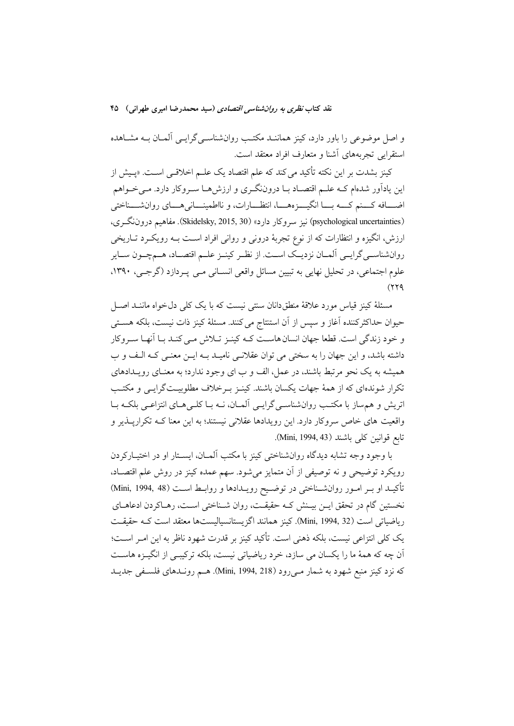و اصل موضوعی را باور دارد، کینز هماننـد مکتـب روانشناسـیگرایـی آلمـان بـه مشـاهده استقرايي تجربههاي آشنا و متعارف افراد معتقد است.

کینز بشدت بر این نکته تأکید می کند که علم اقتصاد یک علــم اخلاقــی اســت. «پــیش از این یادآور شدهام کـه علـم اقتصـاد بـا دروننگـري و ارزشهـا سـروکار دارد. مـيخـواهم اضــافه كـــنم كـــه بـــا انگيـــزههـــا، انتظـــارات، و نااطمينـــانيهـــاي روانشـــناختي (psychological uncertainties) نيز سروكار دارد» (Skidelsky, 2015, 30). مفاهيم دروننگري، ارزش، انگیزه و انتظارات که از نوع تجربهٔ درونی و روانی افراد است بـه رویکـرد تـاریخی روانشناسـي گرايــي اَلمــان نزديــك اســت. از نظـر كينــز علــم اقتصــاد، هــمچــون ســاير علوم اجتماعي، در تحليل نهايي به تبيين مسائل واقعي انســاني مــي پــردازد (گرجــي، ١٣٩٠،  $(179)$ 

مسئلهٔ کینز قیاس مورد علاقهٔ منطقدانان سنتی نیست که با یک کلی دل خواه ماننـد اصـل حیوان حداکثرکننده آغاز و سپس از آن استنتاج می کنند. مسئلهٔ کینز ذات نیست، بلکه هســتی و خود زندگی است. قطعا جهان انسان هاست کـه کینـز تـلاش مـی کنـد بـا آنهـا سـروکار داشته باشد، و این جهان را به سختی می توان عقلانی نامیـد بـه ایــن معنـی کـه الـف و ب همیشه به یک نحو مرتبط باشند، در عمل، الف و ب ای وجود ندارد؛ به معنـای رویــدادهای تکرار شوندهای که از همهٔ جهات یکسان باشند. کینـز بـرخلاف مطلوبیـتگرایـی و مکتـب اتریش و هم ساز با مکتب روان شناسبی گرایسی آلمان، نــه بــا کلــی هــای انتزاعــی بلکــه بــا واقعیت های خاص سروکار دارد. این رویدادها عقلانی نیستند؛ به این معنا کـه تکرارپــذیر و تابع قوانين كلي باشند (Mini, 1994, 43).

با وجود وجه تشابه دیدگاه روانشناختی کینز با مکتب آلمــان، ایســتار او در اختیــارکردن رویکرد توضیحی و نه توصیفی از آن متمایز میشود. سهم عمده کینز در روش علم اقتصـاد، تأكيـد او بـر امـور روانشــناختى در توضـيح رويـدادها و روابـط اسـت (1994, 48) (Mini, 1994) نخستین گام در تحقق ایـن بیـنش کـه حقیقـت، روان شـناختی اسـت، رهـاکردن ادعاهـای رياضياتي است (Mini, 1994, 32). كينز همانند اگزيستانسياليستها معتقد است كـه حقيقـت يک کلي انتزاعي نيست، بلکه ذهني است. تأکيد کينز بر قدرت شهود ناظر به اين امـر اسـت؛ اّن چه که همهٔ ما را یکسان می سازد، خرد ریاضیاتی نیست، بلکه ترکیبی از انگیـزه هاسـت که نزد کینز منبع شهود به شمار مے رود (Mini, 1994, 218). هـم رونـدهای فلسـفی جدیـد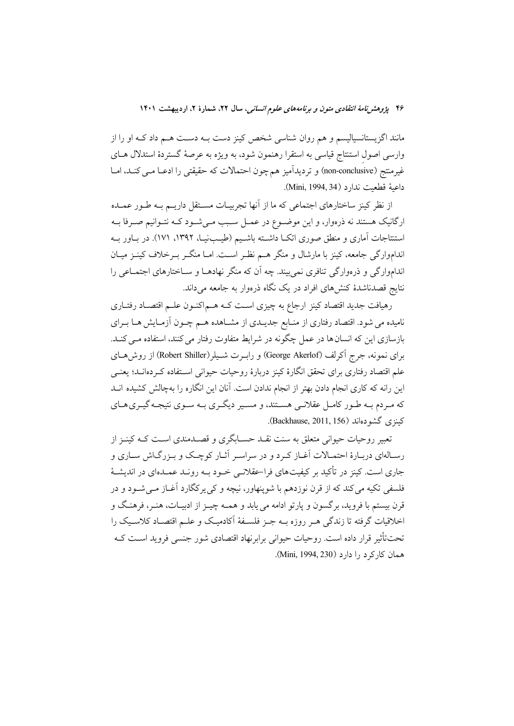مانند اگزیستانسیالیسم و هم روان شناسی شخص کینز دست بــه دســت هــم داد کــه او را از وارسی اصول استنتاج قیاسی به استقرا رهنمون شود، به ویژه به عرصهٔ گستردهٔ استدلال هـای غیرمنتج (non-conclusive) و تردیدآمیز هم چون احتمالات که حقیقتی را ادعــا مــی کنــد، امــا داعية قطعيت ندارد (1994, 34).

از نظر کینز ساختارهای اجتماعی که ما از آنها تجربیـات مسـتقل داریــم بــه طـور عمــده ارگانیک هستند نه ذرهوار، و این موضـوع در عمـل سـبب مـیشـود کـه نتـوانیم صـرفا بـه استنتاجات آماری و منطق صوری اتک داشته باشـیم (طیـبنیـا، ۱۳۹۲، ۱۷۱). در بـاور بـه انداموارگی جامعه، کینز با مارشال و منگر هــم نظـر اســت امــا منگــر بــرخلاف کینــز میــان انداموارگی و ذرءوارگی تنافری نمی بیند. چه اَن که منگر نهادهــا و ســاختارهای اجتمــاعی را .<br>نتایج قصدناشدهٔ کنشهای افراد در یک نگاه ذرهوار به جامعه م<sub>ی</sub> داند.

رهیافت جدید اقتصاد کینز ارجاع به چیزی است کـه هـم|کنـون علـم اقتصـاد رفتـاری نامیده می شود. اقتصاد رفتاری از منـابع جدیـدی از مشــاهده هــم چــون آزمــایش هــا بــرای بازسازی این که انسان ها در عمل چگونه در شرایط متفاوت رفتار می کنند، استفاده مــی کنــد. برای نمونه، جرج آکرلف (George Akerlof) و راب ت شـیلر (Robert Shiller) از روش هــای علم اقتصاد رفتاری برای تحقق انگارهٔ کینز دربارهٔ روحیات حیوانی اسـتفاده کـردهانــد؛ یعنــی این رانه که کاری انجام دادن بهتر از انجام ندادن است. آنان این انگاره را بهچالش کشیده انــد که مـردم بـه طـور کامـل عقلانـی هسـتند، و مسـیر دیگـری بـه سـوی نتیجـه گیـری هـای كىنزى گشودەاند (Backhause, 2011, 156).

تعبیر روحیات حیوانی متعلق به سنت نقــد حســابگری و قصــدمندی اســت کــه کینــز از رسـالهاي دربـارهٔ احتمـالات آغـاز كـرد و در سراسـر أثـار كوچـك و بـزرگـاش سـاري و جاری است. کینز در تأکید بر کیفیتهای فراحقلانـی خــود بــه رونــد عمــدهای در اندیشــهٔ فلسفی تکیه میکند که از قرن نوزدهم با شوپنهاور، نیچه و کی پرکگارد آغـاز مـی شــود و در قرن بیستم با فروید، برگسون و یارتو ادامه می پابد و همــه چیــز از ادبیــات، هنــر، فرهنـگ و اخلاقیات گرفته تا زندگی هـر روزه بــه جـز فلســفهٔ آکادمیـک و علــم اقتصــاد کلاســیک را تحت تأثیر قرار داده است. روحیات حیوانی برابرنهاد اقتصادی شور جنسی فروید اسـت کـه همان كاركرد را دارد (Mini, 1994, 230).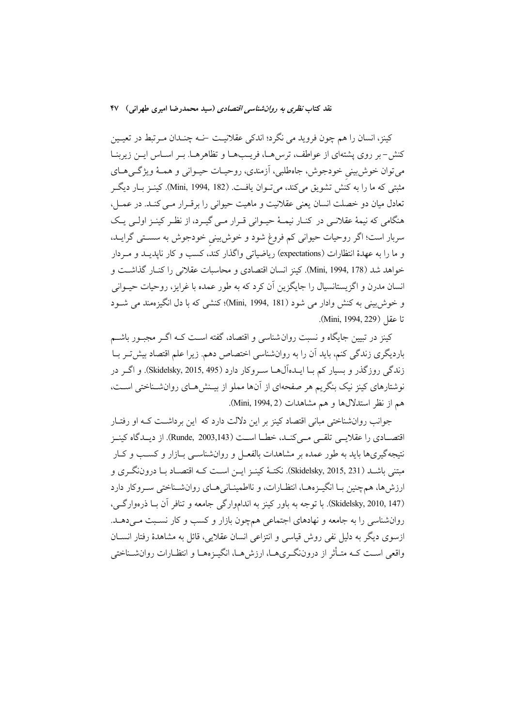کینز، انسان را هم چون فروید می نگرد؛ اندکی عقلانیت خـه چنـدان مـرتبط در تعیـین کنش-بر روی پشتهای از عواطف، ترس هـا، فریـبهـا و تظاهرهـا. بـر اسـاس ایـن زیربنـا می توان خوش بینی خودجوش، جاهطلبی، آزمندی، روحیـات حیـوانی و همـهٔ ویژگـیهـای مثبتی که ما را به کنش تشویق میکند، میتوان یافت. (182 ,Mini, 1994). کینـز بـار دیگـر تعادل میان دو خصلت انسان یعنی عقلانیت و ماهیت حیوانی را برقـرار مـی کنـد. در عمـل، هنگامی که نیمهٔ عقلانـی در کنــار نیمــهٔ حیــوانی قــرار مــی گیــرد، از نظــر کینــز اولــی یــک سربار است؛ اگر روحیات حیوانی کم فروغ شود و خوش بینی خودجوش به سستی گرایــد، و ما را به عهدهٔ انتظارات (expectations) ریاضیاتی واگذار کند، کسب و کار نایدیــد و مــردار خواهد شد (178 ,Mini, 1994). كينز انسان اقتصادي و محاسبات عقلاني را كنـار گذاشـت و انسان مدرن و اگزیستانسیال را جایگزین آن کرد که به طور عمده با غرایز، روحیات حیــوانی و خوش بینی به کنش وادار می شود (Mini, 1994, 181)؛ کنشی که با دل انگیز ممند می شـود تا عقا (Mini, 1994, 229).

کینز در تبیین جایگاه و نسبت روان شناسی و اقتصاد، گفته اســت کـه اگــر مجبــور باشــم باردیگری زندگی کنم، باید آن را به روانشناسی اختصاص دهم. زیرا علم اقتصاد بیش تـر بــا زندگی روزگذر و بسیار کم با ایـدهآلهـا سـروکار دارد (Skidelsky, 2015, 495). و اگـر در نوشتارهای کینز نیک بنگریم هر صفحهای از آنها مملو از بیـنش۵حـای روانشـناختی اسـت، هم از نظر استدلالها و هم مشاهدات (Mini, 1994, 2).

جوانب روانشناختی مبانی اقتصاد کینز بر این دلالت دارد که این برداشــت کــه او رفتــار اقتصــادي را عقلايــي تلقــي مــيكنــد، خطــا اســت (Runde, 2003,143). از ديــدگاه كينــز نتیجهگیریها باید به طور عمده بر مشاهدات بالفعـل و روانشناســی بــازار و کســب و کــار مبتنی باشــد (Skidelsky, 2015, 231). نکتــهٔ کینــز ایــن اســت کــه اقتصــاد بــا درون $\mathcal{Z}$ ری و ارزش ها، همچنین بـا انگیـزههـا، انتظـارات، و نااطمینـانیهـای روانشـناختی سـروکار دارد (Skidelsky, 2010, 147). با توجه به باور کینز به انداموارگی جامعه و تنافر آن بـا ذرهوارگــی، روانشناسی را به جامعه و نهادهای اجتماعی همچون بازار و کسب و کار نسـبت مـیدهــد. ازسوی دیگر به دلیل نفی روش قیاسی و انتزاعی انسان عقلایی، قائل به مشاهدهٔ رفتار انســان واقعی است کـه متـأثر از دروننگـریهـا، ارزش۹مـا، انگیـزههـا و انتظـارات روانشـناختی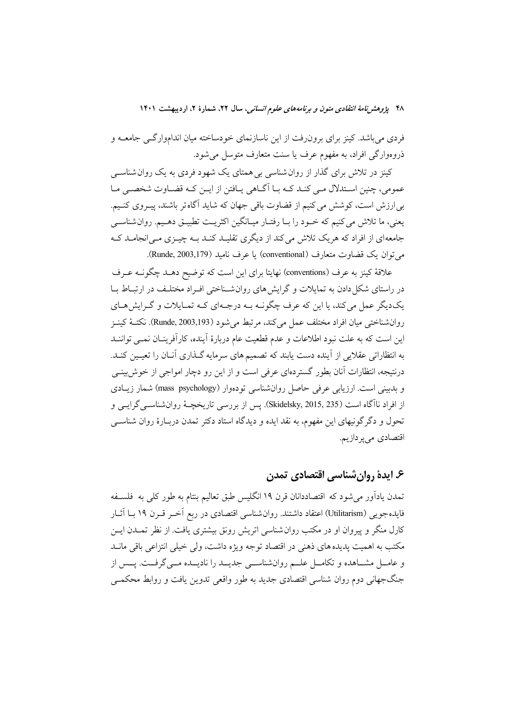فردی میباشد. کینز برای برون٫فت از این ناسازنمای خودساخته میان انداموارگـی جامعــه و ذروهوارگي افراد، به مفهوم عرف يا سنت متعارف متوسل مي شود.

کینز در تلاش برای گذار از روان شناسی بی همتای یک شهود فردی به یک روان شناسبی عمومی، چنین اسـتدلال مـی کنـد کـه بـا آگـاهی پـافتن از ایـن کـه قضـاوت شخصـی مـا بی ارزش است، کوشش می کنیم از قضاوت باقی جهان که شاید آگاه تر باشند، پیـروی کنـیم. يعني، ما تلاش مي كنيم كه خـود را بـا رفتـار ميـانگين اكثريـت تطبيـق دهـيم. روان شناسـي جامعهای از افراد که هریک تلاش می کند از دیگری تقلیـد کنـد بـه چیـزی مـی|نجامـد کـه مي توان يک قضاوت متعارف (conventional) يا عرف ناميد (Runde, 2003,179).

علاقهٔ کینز به عرف (conventions) نهایتا برای این است که توضیح دهـد چگونــه عـرف در راستای شکل دادن به تمایلات و گرایش های روان شیناختی افیراد مختلیف در ارتبیاط سا یک دیگر عمل می کند، یا این که عرف چگونــه بــه درجــهای کــه تمــایلات و گــرایش هــای روانشناختي ميان افراد مختلف عمل مي كند، مرتبط مي شود (Runde, 2003,193). نكتــهٔ كينــز این است که به علت نبود اطلاعات و عدم قطعیت عام دربارهٔ آینده، کارآفرینـان نمـی تواننـد به انتظاراتی عقلایی از آینده دست یابند که تصمیم های سرمایه گـذاری آنــان را تعیــین کنــد. درنتیجه، انتظارات آنان بطور گستردهای عرفی است و از این رو دچار امواجی از خوش بینـی و بدبینی است. ارزیابی عرفی حاصل روان شناسی تودهوار (mass\_psychology) شمار زیبادی از افراد ناآگاه است (Skidelsky, 2015, 235). يس از بررسي تاريخچــهٔ روانشناســيگرايــي و تحول و دگرگونیهای این مفهوم، به نقد ایده و دیدگاه استاد دکتر تمدن دربـارهٔ روان شناســی اقتصادي مي ير دازيم.

## ۶. ایدهٔ روانِ شناسی اقتصادی تمدن

تمدن یادآور میشود که اقتصاددانان قرن ۱۹ انگلیس طبق تعالیم بنتام به طور کلی به فلسـفه فایدهجویی (Utilitarism) اعتقاد داشتند. روان شناسی اقتصادی در ربع اَخــر قــرن ۱۹ بــا اَثــار کارل منگر و پیروان او در مکتب روان شناسی اتریش رونق بیشتری یافت. از نظر تمــدن ایــن مکتب به اهمیت پدیده های ذهنی در اقتصاد توجه ویژه داشت، ولی خیلی انتزاعی باقی مانــد و عامــل مشــاهده و تكامــل علــم روانشناســي جديــد را ناديــده مــيگرفــت. پــس از جنگجهانی دوم روان شناسی اقتصادی جدید به طور واقعی تدوین یافت و روابط محکمبی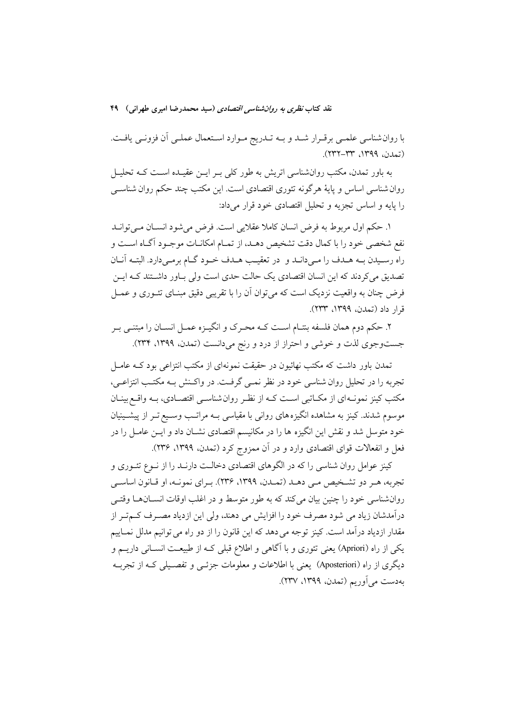با روان شناسی علمـی برقـرار شـد و بـه تـدریج مـوارد اسـتعمال عملـی آن فزونـی یافـت. (تمدن، ١٣٩٩، ٣٣-٢٣٢).

به باور تمدن، مکتب روانشناسی اتریش به طور کلی بـر ایــن عقیــده اســت کــه تحلیــل روان شناسی اساس و پایهٔ هرگونه تئوری اقتصادی است. این مکتب چند حکم روان شناســی را پایه و اساس تجزیه و تحلیل اقتصادی خود قرار میداد:

١. حكم اول مربوط به فرض انسان كاملا عقلايي است. فرض مي شود انســان مــي توانــد نفع شخصی خود را با کمال دقت تشخیص دهـد، از تمـام امکانـات موجـود آگـاه اسـت و راه رسـيدن بـه هـدف را مـيدانـد و در تعقيـب هـدف خـود گـام برمـي دارد. البتـه آنـان تصدیق میکردند که این انسان اقتصادی یک حالت حدی است ولی بـاور داشـتند کـه ایــن فرض چنان به واقعیت نزدیک است که میتوان آن را با تقریبی دقیق مبنـای تئــوری و عمــل قرار داد (تمدن، ١٣٩٩، ٢٣٣).

۲. حکم دوم همان فلسفه بنتـام اسـت کــه محـرک و انگیــزه عمــل انســان را مبتنــی بــر جستوجوی لذت و خوشی و احتراز از درد و رنج میدانست (تمدن، ۱۳۹۹، ۲۳۴).

تمدن باور داشت که مکتب نهائیون در حقیقت نمونهای از مکتب انتزاعی بود کــه عامــل تجربه را در تحلیل روان شناسی خود در نظر نمـی گرفـت. در واكـنش بـه مكتـب انتزاعـی، مکتب کینز نمونـهای از مکـاتبی اسـت کـه از نظـر روان شناسـی اقتصـادی، بـه واقـع بینـان موسوم شدند. کینز به مشاهده انگیزه های روانی با مقیاسی بـه مراتـب وسـیع تـر از پیشـینیان خود متوسل شد و نقش این انگیزه ها را در مکانیسم اقتصادی نشـان داد و ایــن عامــل را در فعل و انفعالات قواي اقتصادي وارد و در آن ممزوج كرد (تمدن، ١٣٩٩، ٢٣۶).

کینز عوامل روان شناسی را که در الگوهای اقتصادی دخالـت دارنـد را از نــوع تئــوری و تجربه، هـر دو تشـخيص مـي دهـد (تمـدن، ١٣٩٩، ٢٣۶). بـراي نمونـه، او قـانون اساسـي روانشناسی خود را چنین بیان میکند که به طور متوسط و در اغلب اوقات انســانهــا وقتــی درآمدشان زیاد می شود مصرف خود را افزایش می دهند، ولی این ازدیاد مصـرف کــمتـر از مقدار ازدیاد درآمد است. کینز توجه می دهد که این قانون را از دو راه می توانیم مدلل نمـاییم یکی از راه (Apriori) یعنی تئوری و با آگاهی و اطلاع قبلی کـه از طبیعـت انســانی داریــم و دیگری از راه (Aposteriori) یعنی با اطلاعات و معلومات جزئـبی و تفصـیلی کـه از تجربـه به دست می آوریم (تمدن، ۱۳۹۹، ۲۳۷).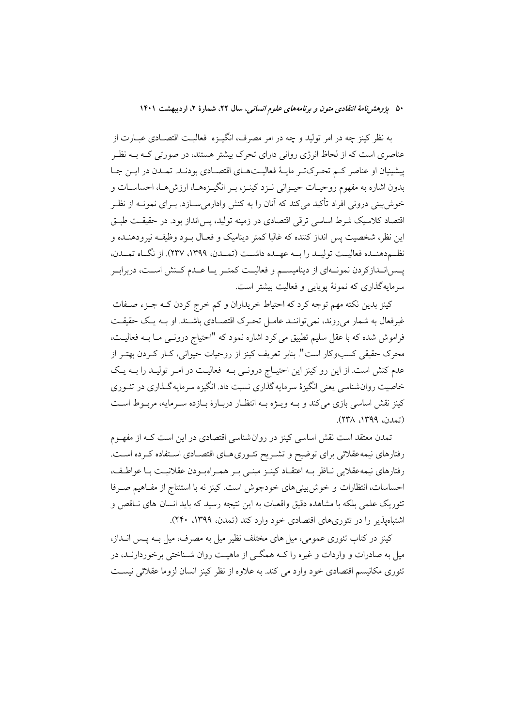به نظر کینز چه در امر تولید و چه در امر مصرف، انگیــزه فعالیــت اقتصــادی عبــارت از عناصری است که از لحاظ انرژی روانی دارای تحرک بیشتر هستند، در صورتی کـه بــه نظـر پیشینیان او عناصر کم تحرک تـر مایـهٔ فعالیـتهـای اقتصـادی بودنـد. تمـدن در ایـن جـا بدون اشاره به مفهوم روحیـات حیـوانی نـزد کینـز، بـر انگیـزههـا، ارزش،هـا، احساسـات و خوش بینی درونی افراد تأکید میکند که آنان را به کنش وادارمی سـازد. بــرای نمونــه از نظــر اقتصاد کلاسیک شرط اساسی ترقی اقتصادی در زمینه تولید، پس انداز بود. در حقیقـت طبـق این نظر، شخصیت پس انداز کننده که غالبا کمتر دینامیک و فعـال بـود وظیفـه نیرودهنـده و نظـم<هنـمده فعاليــت توليــد را بــه عهـمده داشــت (تمــدن، ١٣٩٩، ٢٣٧). از نگـاه تمــدن، پــسانــدازکردن نمونــهای از دینامیســم و فعالیــت کمتــر یــا عــدم کــنش اســت، دربرابــر سرمایهگذاری که نمونهٔ یوپایی و فعالیت بیشتر است.

کینز بدین نکته مهم توجه کرد که احتیاط خریداران و کم خرج کردن کـه جـزء صـفات غیر فعال به شمار می روند، نمی تواننـد عامـل تحـرک اقتصـادی باشـند. او بــه یـک حقیقـت فراموش شده که با عقل سلیم تطبیق می کرد اشاره نمود که "احتیاج درونـبی مــا بــه فعالیــت، محرک حقیقی کسبوکار است". بنابر تعریف کینز از روحیات حیوانی، کـار کـردن بهتـر از عدم کنش است. از این رو کینز این احتیــاج درونــی بــه فعالیــت در امــر تولیــد را بــه یــک خاصیت روان شناسی یعنی انگیزهٔ سرمایه گذاری نسبت داد. انگیزه سرمایه گـذاری در تئـوری کینز نقش اساسی بازی می کند و بـه ویـژه بـه انتظـار دربـارهٔ بـازده سـرمایه، مربـوط اسـت (تمدن، ١٣٩٩، ٢٣٨).

تمدن معتقد است نقش اساسی کینز در روان شناسی اقتصادی در این است کـه از مفهــوم رفتارهای نیمه عقلائی برای توضیح و تشـریح تئـوریهـای اقتصـادی اسـتفاده كـرده اسـت. رفتارهای نیمه عقلایی نــاظر بــه اعتقــاد کینــز مبنــی بــر همــراهبــودن عقلانیــت بــا عواطــف، احساسات، انتظارات و خوش بینی های خودجوش است. کینز نه با استنتاج از مفـاهیم صـرفا تئوریک علمی بلکه با مشاهده دقیق واقعیات به این نتیجه رسید که باید انسان های نــاقص و اشتباهپذیر را در تئوریهای اقتصادی خود وارد کند (تمدن، ۱۳۹۹، ۲۴۰).

کینز در کتاب تئوری عمومی، میل های مختلف نظیر میل به مصرف، میل بــه پــس انــداز، میل به صادرات و واردات و غیره را کـه همگــی از ماهیــت روان شــناختی برخوردارنــد، در تئوری مکانیسم اقتصادی خود وارد می کند. به علاوه از نظر کینز انسان لزوما عقلائی نیسـت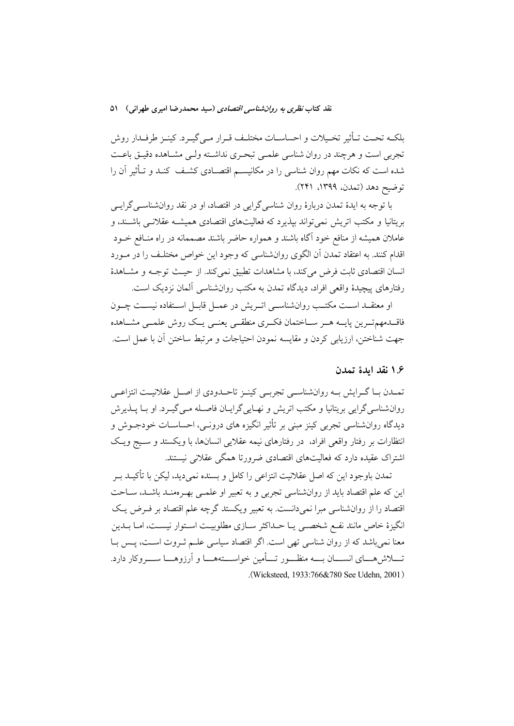بلكـه تحـت تـأثير تخـيلات و احساسـات مختلـف قـرار مـي٤يـرد. كينـز طرفـدار روش تجربي است و هرچند در روان شناسي علمـي تبحـري نداشـته ولـي مشـاهده دقيـق باعـت شده است که نکات مهم روان شناسی را در مکانیسـم اقتصـادی کشـف کنـد و تـأثیر آن را توضيح دهد (تمدن، ١٣٩٩، ٢۴١).

با توجه به ایدهٔ تمدن دربارهٔ روان شناسی گرایی در اقتصاد، او در نقد روانشناســی گرایــی بریتانیا و مکتب اتریش نمی تواند بپذیرد که فعالیتهای اقتصادی همیشــه عقلانــی باشــند، و عاملان همیشه از منافع خود آگاه باشند و همواره حاضر باشند مصممانه در راه منـافع خــود اقدام کنند. به اعتقاد تمدن آن الگوی روانشناسی که وجود این خواص مختلـف را در مـورد انسان اقتصادی ثابت فرض می کند، با مشاهدات تطبیق نمی کند. از حیث توجـه و مشـاهدهٔ رفتارهای پیچیدهٔ واقعی افراد، دیدگاه تمدن به مکتب روانشناسی آلمان نزدیک است.

او معتقــد اســت مكتـب روانشناســي اتــريش در عمــل قابــل اســتفاده نيســت چــون فاقــدمهمتــرين پايــه هــر ســاختمان فكــرى منطقــى يعنــى يــك روش علمــى مشــاهده جهت شناختن، ارزیابی کردن و مقایسه نمودن احتیاجات و مرتبط ساختن آن با عمل است.

### ۱.۶ نقد ايدهٔ تمدن

تمـدن بـا گـرايش بــه روانشناســي تجربــي كينــز تاحــدودي از اصــل عقلانيــت انتزاعــي روانشناسي گرايي بريتانيا و مكتب اتريش و نهـايي گرايــان فاصــله مــي گيــرد. او بــا يــذيرش دیدگاه روانشناسی تجربی کینز مبنی بر تأثیر انگیزه های درونــی، احساســات خودجــوش و انتظارات بر رفتار واقعی افراد، در رفتارهای نیمه عقلایی انسانها، با ویکستد و سبیج ویک اشتراک عقیده دارد که فعالیتهای اقتصادی ضرورتا همگی عقلانی نیستند.

تمدن باوجود این که اصل عقلانیت انتزاعی را کامل و بسنده نمی دید، لیکن با تأکیــد بــر این که علم اقتصاد باید از روانشناسی تجربی و به تعبیر او علمـی بهـرهمنـد باشـد، سـاحت اقتصاد را از روانشناسی مبرا نمی دانست. به تعبیر ویکستد گرچه علم اقتصاد بر فـرض یـک انگیزهٔ خاص مانند نفـع شخصـی یـا حـداکثر سـازی مطلوبیـت اسـتوار نیسـت، امـا بـدین معنا نمی باشد که از روان شناسی تھی است. اگر اقتصاد سیاسی علــم ثــروت اســت، پــس بــا تــــلاش۵هــــای انســــان بــــه منظـــور تــــأمین خواســــتههــــا و آرزوهــــا ســــروکار دارد. (Wicksteed 1933.766&780 See Udehn 2001)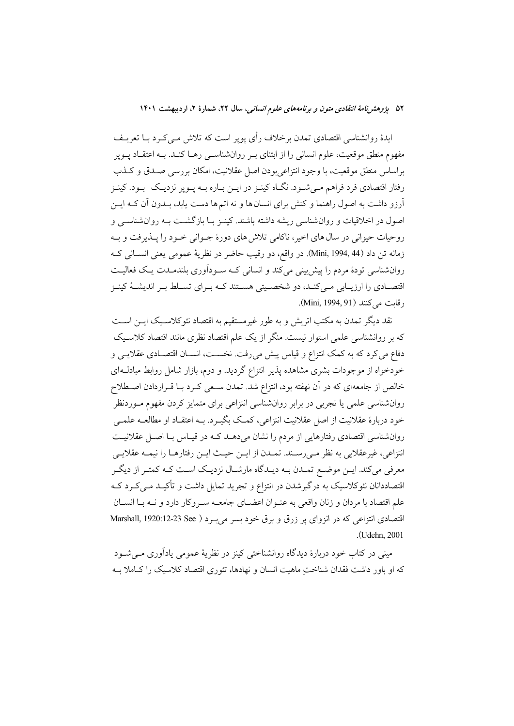ایدهٔ روانشناسی اقتصادی تمدن برخلاف رأی پوپر است که تلاش مـیکـرد بــا تعریــف مفهوم منطق موقعیت، علوم انسانی را از ابتنای بـر روانشناسـی رهــا کنــد. بــه اعتقــاد يــوير براساس منطق موقعیت، با وجود انتزاعی بودن اصل عقلانیت، امکان بررسی صـدق و کــذب رفتار اقتصادی فرد فراهم مـی شـود. نگــاه کینــز در ایــن بــاره بــه پــویر نزدیــک بــود. کینــز آرزو داشت به اصول راهنما و کنش برای انسان ها و نه اتم ها دست پابد، بــدون آن کــه ايــن اصول در اخلاقیات و روان شناسی ریشه داشته باشند. کینـز بـا بازگشـت بـه روان شناسـی و روحیات حیوانی در سال های اخیر، ناکامی تلاش های دورهٔ جـوانی خـود را پــذیرفت و بــه زمانه تن داد (Mini, 1994, 44). در واقع، دو رقيب حاضر در نظريهٔ عمومي يعني انســاني کــه روانشناسی تودهٔ مردم را پیش بینی میکند و انسانی کـه سـوداَوری بلندمـدت یـک فعالیـت اقتصــادي را ارزيــابي مــي كنــد، دو شخصــيتي هســتند كــه بــراي تســلط بــر انديشــهٔ كينــز , قابت می کنند (Mini, 1994, 91).

نقد دیگر تمدن به مکتب اتریش و به طور غیرمستقیم به اقتصاد نئوکلاسـیک ایــن اســت که بر روانشناسی علمی استوار نیست. منگر از یک علم اقتصاد نظری مانند اقتصاد کلاسـیک دفاع می کرد که به کمک انتزاع و قیاس پیش می رفت. نخســت، انســان اقتصــادی عقلایــی و خودخواه از موجودات بشری مشاهده پذیر انتزاع گردید. و دوم، بازار شامل روابط مبادل1ای خالص از جامعهای که در آن نهفته بود، انتزاع شد. تمدن سـعی کـرد بـا قــراردادن اصــطلاح روانشناسی علمی یا تجربی در برابر روانشناسی انتزاعی برای متمایز کردن مفهوم مـوردنظر خود دربارهٔ عقلانیت از اصل عقلانیت انتزاعی، کمک بگیـرد. بـه اعتقـاد او مطالعـه علمـی روانشناسی اقتصادی رفتارهایی از مردم را نشان میدهـد کـه در قیـاس بـا اصـل عقلانیـت انتزاعي، غيرعقلايي به نظر مـىرسـند. تمـدن از ايـن حيـث ايـن رفتارهـا را نيمـه عقلايـي معرفی میکند. ایـن موضـع تمـدن بـه دیـدگاه مارشـال نزدیـک اسـت کـه کمتـر از دیگـر اقتصاددانان نئوکلاسیک به درگیرشدن در انتزاع و تجرید تمایل داشت و تأکیــد مــیکــرد کــه علم اقتصاد با مردان و زنان واقعی به عنـوان اعضــای جامعــه ســروکار دارد و نــه بــا انســان اقتصادی انتزاعی که در انزوای پر زرق و برق خود بسر می به د Marshall, 1920:12-23 See )  $($ Udehn 2001

مینی در کتاب خود دربارهٔ دیدگاه روانشناختی کینز در نظریهٔ عمومی یادآوری مبی شـود که او باور داشت فقدان شناخت ماهیت انسان و نهادها، تئوری اقتصاد کلاسیک را کـاملا بـه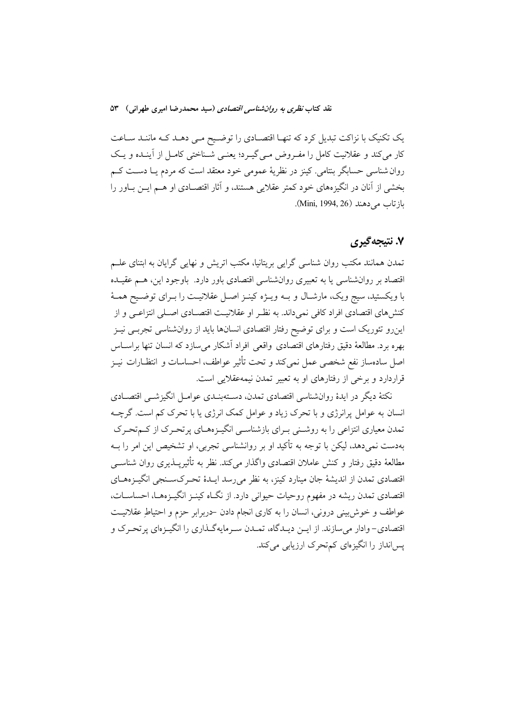یک تکنیک با نزاکت تبدیل کرد که تنهـا اقتصـادی را توضـیح مـی دهــد کــه ماننــد ســاعت کار می کند و عقلانیت کامل را مفـروض مـی گیـرد؛ یعنـی شـناختی کامـل از آینـده و یـک روان شناسی حسابگر بنتامی. کینز در نظریهٔ عمومی خود معتقد است که مردم یـا دسـت کـم بخشی از آنان در انگیزههای خود کمتر عقلایی هستند، و آثار اقتصـادی او هــم ایــن بــاور را بازتاب می دهند (Mini, 1994, 26).

### ۷. نتیجهگیری

تمدن همانند مکتب روان شناسی گرایی بریتانیا، مکتب اتریش و نهایی گرایان به ابتنای علـم اقتصاد بر روانشناسی یا به تعبیری روانشناسی اقتصادی باور دارد. باوجود این، هـم عقیـده با ویکستید، سیج ویک، مارشـال و بــه ویــژه کینــز اصــل عقلانیــت را بــرای توضــیح همــهٔ کنشهای اقتصادی افراد کافی نمیداند. به نظـر او عقلانیــت اقتصــادی اصــلی انتزاعــی و از اینرو تئوریک است و برای توضیح رفتار اقتصادی انسانها باید از روانشناسی تجربـی نیـز بهره برد. مطالعهٔ دقیق رفتارهای اقتصادی واقعی افراد آشکار میسازد که انسان تنها براسـاس اصل سادهساز نفع شخصي عمل نمي كند و تحت تأثير عواطف، احساسات و انتظـارات نيــز قراردارد و برخی از رفتارهای او به تعبیر تمدن نیمهعقلایی است.

نکتهٔ دیگر در ایدهٔ روانشناسی اقتصادی تمدن، دسـتهبنـدی عوامـل انگیزشــی اقتصــادی انسان به عوامل پرانرژی و با تحرک زیاد و عوامل کمک انرژی یا با تحرک کم است. گرچــه تمدن معیاری انتزاعی را به روشــنی بـرای بازشناســی انگیــزههــای پرتحـرک از کــمتحـرک بهدست نمیِ دهد، لیکن با توجه به تأکید او بر روانشناسی تجربی، او تشخیص این امر را بــه مطالعهٔ دقیق رفتار و کنش عاملان اقتصادی واگذار میکند. نظر به تأثیرپــذیری روان شناســی اقتصادی تمدن از اندیشهٔ جان مینارد کینز، به نظر میرسد ایـدهٔ تحـرکسـنجی انگیـزههـای اقتصادی تمدن ریشه در مفهوم روحیات حیوانی دارد. از نگــاه کینــز انگیــزههــا، احساســات، عواطف و خوش بینی درونی، انسان را به کاری انجام دادن حربرابر حزم و احتیاطِ عقلانیت اقتصادی- وادار میسازند. از ایـن دیـدگاه، تمـدن سـرمایهگـذاری را انگیـزهای پرتحـرک و یس انداز را انگیزهای کم تحرک ارزیابی می کند.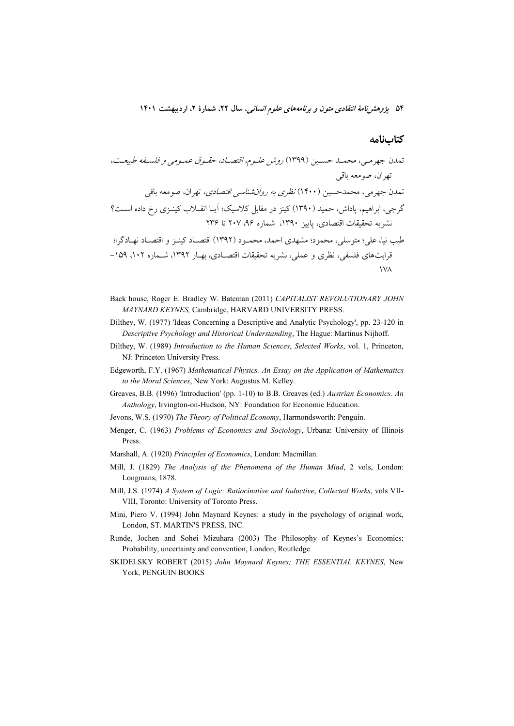### كتابنامه

- Back house, Roger E. Bradley W. Bateman (2011) CAPITALIST REVOLUTIONARY JOHN MAYNARD KEYNES, Cambridge, HARVARD UNIVERSITY PRESS.
- Dilthey, W. (1977) 'Ideas Concerning a Descriptive and Analytic Psychology', pp. 23-120 in Descriptive Psychology and Historical Understanding, The Hague: Martinus Nijhoff.
- Dilthey, W. (1989) Introduction to the Human Sciences, Selected Works, vol. 1, Princeton, NJ: Princeton University Press.
- Edgeworth, F.Y. (1967) Mathematical Physics. An Essay on the Application of Mathematics to the Moral Sciences, New York: Augustus M. Kelley.
- Greaves, B.B. (1996) 'Introduction' (pp. 1-10) to B.B. Greaves (ed.) Austrian Economics. An Anthology, Irvington-on-Hudson, NY: Foundation for Economic Education.
- Jevons, W.S. (1970) The Theory of Political Economy, Harmondsworth: Penguin.
- Menger, C. (1963) Problems of Economics and Sociology, Urbana: University of Illinois Press
- Marshall, A. (1920) Principles of Economics, London: Macmillan.
- Mill, J. (1829) The Analysis of the Phenomena of the Human Mind, 2 vols, London: Longmans, 1878.
- Mill, J.S. (1974) A System of Logic: Ratiocinative and Inductive, Collected Works, vols VII-VIII, Toronto: University of Toronto Press.
- Mini, Piero V. (1994) John Maynard Keynes: a study in the psychology of original work, London, ST. MARTIN'S PRESS, INC.
- Runde, Jochen and Sohei Mizuhara (2003) The Philosophy of Keynes's Economics; Probability, uncertainty and convention, London, Routledge
- SKIDELSKY ROBERT (2015) John Maynard Keynes; THE ESSENTIAL KEYNES, New York, PENGUIN BOOKS